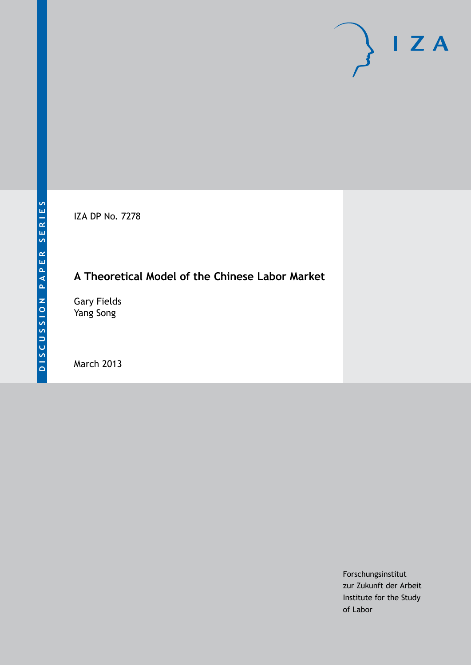IZA DP No. 7278

## **A Theoretical Model of the Chinese Labor Market**

Gary Fields Yang Song

March 2013

Forschungsinstitut zur Zukunft der Arbeit Institute for the Study of Labor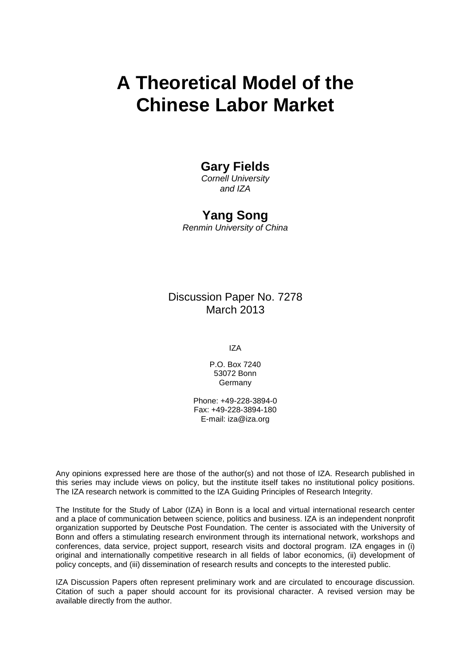# **A Theoretical Model of the Chinese Labor Market**

## **Gary Fields**

*Cornell University and IZA*

## **Yang Song**

*Renmin University of China*

Discussion Paper No. 7278 March 2013

IZA

P.O. Box 7240 53072 Bonn Germany

Phone: +49-228-3894-0 Fax: +49-228-3894-180 E-mail: [iza@iza.org](mailto:iza@iza.org)

Any opinions expressed here are those of the author(s) and not those of IZA. Research published in this series may include views on policy, but the institute itself takes no institutional policy positions. The IZA research network is committed to the IZA Guiding Principles of Research Integrity.

The Institute for the Study of Labor (IZA) in Bonn is a local and virtual international research center and a place of communication between science, politics and business. IZA is an independent nonprofit organization supported by Deutsche Post Foundation. The center is associated with the University of Bonn and offers a stimulating research environment through its international network, workshops and conferences, data service, project support, research visits and doctoral program. IZA engages in (i) original and internationally competitive research in all fields of labor economics, (ii) development of policy concepts, and (iii) dissemination of research results and concepts to the interested public.

IZA Discussion Papers often represent preliminary work and are circulated to encourage discussion. Citation of such a paper should account for its provisional character. A revised version may be available directly from the author.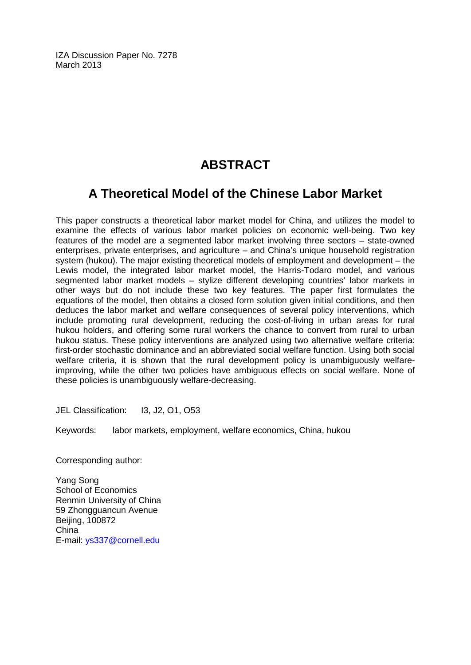IZA Discussion Paper No. 7278 March 2013

## **ABSTRACT**

## **A Theoretical Model of the Chinese Labor Market**

This paper constructs a theoretical labor market model for China, and utilizes the model to examine the effects of various labor market policies on economic well-being. Two key features of the model are a segmented labor market involving three sectors – state-owned enterprises, private enterprises, and agriculture – and China's unique household registration system (hukou). The major existing theoretical models of employment and development – the Lewis model, the integrated labor market model, the Harris-Todaro model, and various segmented labor market models – stylize different developing countries' labor markets in other ways but do not include these two key features. The paper first formulates the equations of the model, then obtains a closed form solution given initial conditions, and then deduces the labor market and welfare consequences of several policy interventions, which include promoting rural development, reducing the cost-of-living in urban areas for rural hukou holders, and offering some rural workers the chance to convert from rural to urban hukou status. These policy interventions are analyzed using two alternative welfare criteria: first-order stochastic dominance and an abbreviated social welfare function. Using both social welfare criteria, it is shown that the rural development policy is unambiguously welfareimproving, while the other two policies have ambiguous effects on social welfare. None of these policies is unambiguously welfare-decreasing.

JEL Classification: I3, J2, O1, O53

Keywords: labor markets, employment, welfare economics, China, hukou

Corresponding author:

Yang Song School of Economics Renmin University of China 59 Zhongguancun Avenue Beijing, 100872 China E-mail: [ys337@cornell.edu](mailto:ys337@cornell.edu)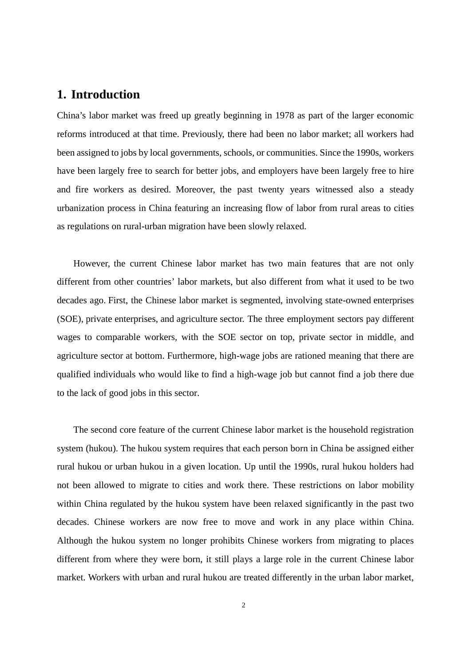## **1. Introduction**

China's labor market was freed up greatly beginning in 1978 as part of the larger economic reforms introduced at that time. Previously, there had been no labor market; all workers had been assigned to jobs by local governments, schools, or communities. Since the 1990s, workers have been largely free to search for better jobs, and employers have been largely free to hire and fire workers as desired. Moreover, the past twenty years witnessed also a steady urbanization process in China featuring an increasing flow of labor from rural areas to cities as regulations on rural-urban migration have been slowly relaxed.

However, the current Chinese labor market has two main features that are not only different from other countries' labor markets, but also different from what it used to be two decades ago. First, the Chinese labor market is segmented, involving state-owned enterprises (SOE), private enterprises, and agriculture sector. The three employment sectors pay different wages to comparable workers, with the SOE sector on top, private sector in middle, and agriculture sector at bottom. Furthermore, high-wage jobs are rationed meaning that there are qualified individuals who would like to find a high-wage job but cannot find a job there due to the lack of good jobs in this sector.

The second core feature of the current Chinese labor market is the household registration system (hukou). The hukou system requires that each person born in China be assigned either rural hukou or urban hukou in a given location. Up until the 1990s, rural hukou holders had not been allowed to migrate to cities and work there. These restrictions on labor mobility within China regulated by the hukou system have been relaxed significantly in the past two decades. Chinese workers are now free to move and work in any place within China. Although the hukou system no longer prohibits Chinese workers from migrating to places different from where they were born, it still plays a large role in the current Chinese labor market. Workers with urban and rural hukou are treated differently in the urban labor market,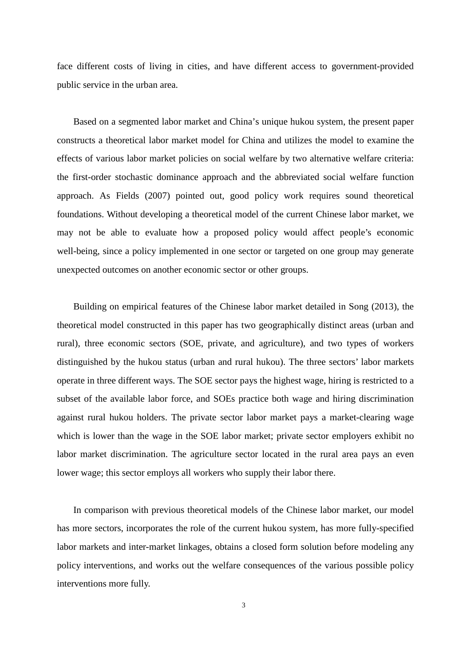face different costs of living in cities, and have different access to government-provided public service in the urban area.

Based on a segmented labor market and China's unique hukou system, the present paper constructs a theoretical labor market model for China and utilizes the model to examine the effects of various labor market policies on social welfare by two alternative welfare criteria: the first-order stochastic dominance approach and the abbreviated social welfare function approach. As Fields (2007) pointed out, good policy work requires sound theoretical foundations. Without developing a theoretical model of the current Chinese labor market, we may not be able to evaluate how a proposed policy would affect people's economic well-being, since a policy implemented in one sector or targeted on one group may generate unexpected outcomes on another economic sector or other groups.

Building on empirical features of the Chinese labor market detailed in Song (2013), the theoretical model constructed in this paper has two geographically distinct areas (urban and rural), three economic sectors (SOE, private, and agriculture), and two types of workers distinguished by the hukou status (urban and rural hukou). The three sectors' labor markets operate in three different ways. The SOE sector pays the highest wage, hiring is restricted to a subset of the available labor force, and SOEs practice both wage and hiring discrimination against rural hukou holders. The private sector labor market pays a market-clearing wage which is lower than the wage in the SOE labor market; private sector employers exhibit no labor market discrimination. The agriculture sector located in the rural area pays an even lower wage; this sector employs all workers who supply their labor there.

In comparison with previous theoretical models of the Chinese labor market, our model has more sectors, incorporates the role of the current hukou system, has more fully-specified labor markets and inter-market linkages, obtains a closed form solution before modeling any policy interventions, and works out the welfare consequences of the various possible policy interventions more fully.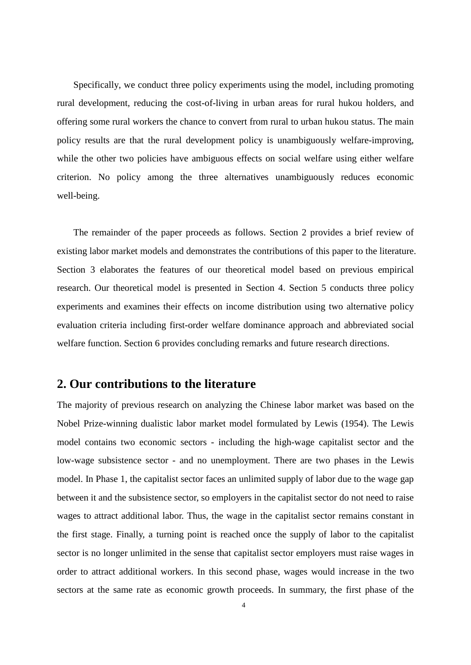Specifically, we conduct three policy experiments using the model, including promoting rural development, reducing the cost-of-living in urban areas for rural hukou holders, and offering some rural workers the chance to convert from rural to urban hukou status. The main policy results are that the rural development policy is unambiguously welfare-improving, while the other two policies have ambiguous effects on social welfare using either welfare criterion. No policy among the three alternatives unambiguously reduces economic well-being.

The remainder of the paper proceeds as follows. Section 2 provides a brief review of existing labor market models and demonstrates the contributions of this paper to the literature. Section 3 elaborates the features of our theoretical model based on previous empirical research. Our theoretical model is presented in Section 4. Section 5 conducts three policy experiments and examines their effects on income distribution using two alternative policy evaluation criteria including first-order welfare dominance approach and abbreviated social welfare function. Section 6 provides concluding remarks and future research directions.

### **2. Our contributions to the literature**

The majority of previous research on analyzing the Chinese labor market was based on the Nobel Prize-winning dualistic labor market model formulated by Lewis (1954). The Lewis model contains two economic sectors - including the high-wage capitalist sector and the low-wage subsistence sector - and no unemployment. There are two phases in the Lewis model. In Phase 1, the capitalist sector faces an unlimited supply of labor due to the wage gap between it and the subsistence sector, so employers in the capitalist sector do not need to raise wages to attract additional labor. Thus, the wage in the capitalist sector remains constant in the first stage. Finally, a turning point is reached once the supply of labor to the capitalist sector is no longer unlimited in the sense that capitalist sector employers must raise wages in order to attract additional workers. In this second phase, wages would increase in the two sectors at the same rate as economic growth proceeds. In summary, the first phase of the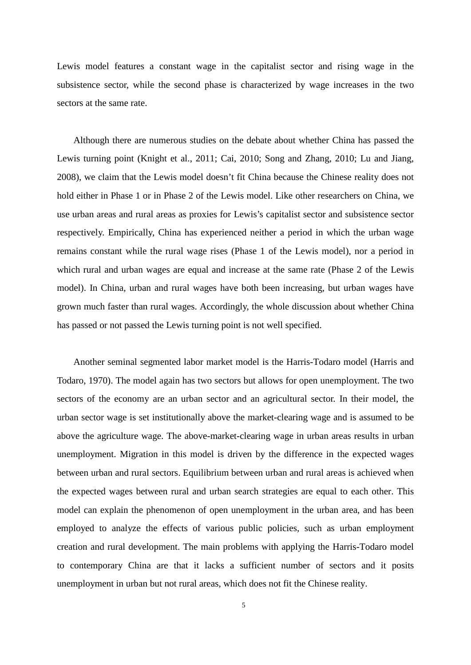Lewis model features a constant wage in the capitalist sector and rising wage in the subsistence sector, while the second phase is characterized by wage increases in the two sectors at the same rate.

Although there are numerous studies on the debate about whether China has passed the Lewis turning point (Knight et al., 2011; Cai, 2010; Song and Zhang, 2010; Lu and Jiang, 2008), we claim that the Lewis model doesn't fit China because the Chinese reality does not hold either in Phase 1 or in Phase 2 of the Lewis model. Like other researchers on China, we use urban areas and rural areas as proxies for Lewis's capitalist sector and subsistence sector respectively. Empirically, China has experienced neither a period in which the urban wage remains constant while the rural wage rises (Phase 1 of the Lewis model), nor a period in which rural and urban wages are equal and increase at the same rate (Phase 2 of the Lewis model). In China, urban and rural wages have both been increasing, but urban wages have grown much faster than rural wages. Accordingly, the whole discussion about whether China has passed or not passed the Lewis turning point is not well specified.

Another seminal segmented labor market model is the Harris-Todaro model (Harris and Todaro, 1970). The model again has two sectors but allows for open unemployment. The two sectors of the economy are an urban sector and an agricultural sector. In their model, the urban sector wage is set institutionally above the market-clearing wage and is assumed to be above the agriculture wage. The above-market-clearing wage in urban areas results in urban unemployment. Migration in this model is driven by the difference in the expected wages between urban and rural sectors. Equilibrium between urban and rural areas is achieved when the expected wages between rural and urban search strategies are equal to each other. This model can explain the phenomenon of open unemployment in the urban area, and has been employed to analyze the effects of various public policies, such as urban employment creation and rural development. The main problems with applying the Harris-Todaro model to contemporary China are that it lacks a sufficient number of sectors and it posits unemployment in urban but not rural areas, which does not fit the Chinese reality.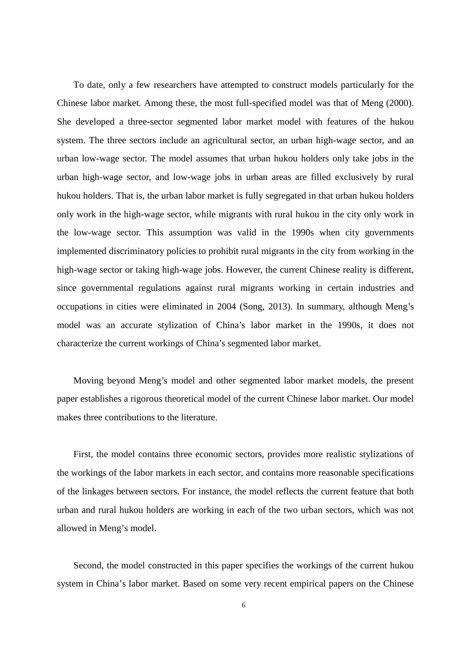To date, only a few researchers have attempted to construct models particularly for the Chinese labor market. Among these, the most full-specified model was that of Meng (2000). She developed a three-sector segmented labor market model with features of the hukou system. The three sectors include an agricultural sector, an urban high-wage sector, and an urban low-wage sector. The model assumes that urban hukou holders only take jobs in the urban high-wage sector, and low-wage jobs in urban areas are filled exclusively by rural hukou holders. That is, the urban labor market is fully segregated in that urban hukou holders only work in the high-wage sector, while migrants with rural hukou in the city only work in the low-wage sector. This assumption was valid in the 1990s when city governments implemented discriminatory policies to prohibit rural migrants in the city from working in the high-wage sector or taking high-wage jobs. However, the current Chinese reality is different, since governmental regulations against rural migrants working in certain industries and occupations in cities were eliminated in 2004 (Song, 2013). In summary, although Meng's model was an accurate stylization of China's labor market in the 1990s, it does not characterize the current workings of China's segmented labor market.

Moving beyond Meng's model and other segmented labor market models, the present paper establishes a rigorous theoretical model of the current Chinese labor market. Our model makes three contributions to the literature.

First, the model contains three economic sectors, provides more realistic stylizations of the workings of the labor markets in each sector, and contains more reasonable specifications of the linkages between sectors. For instance, the model reflects the current feature that both urban and rural hukou holders are working in each of the two urban sectors, which was not allowed in Meng's model.

Second, the model constructed in this paper specifies the workings of the current hukou system in China's labor market. Based on some very recent empirical papers on the Chinese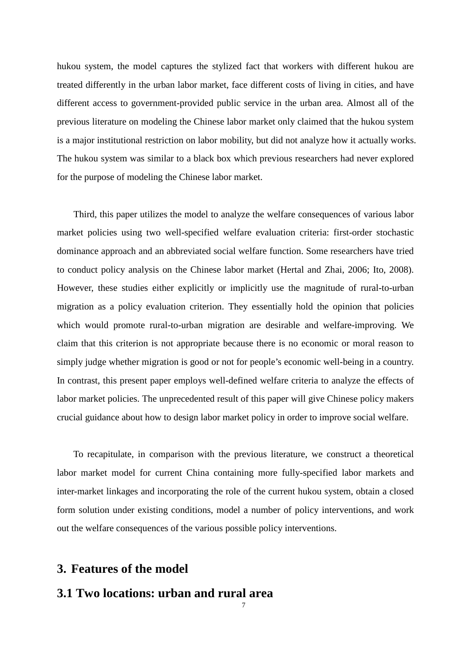hukou system, the model captures the stylized fact that workers with different hukou are treated differently in the urban labor market, face different costs of living in cities, and have different access to government-provided public service in the urban area. Almost all of the previous literature on modeling the Chinese labor market only claimed that the hukou system is a major institutional restriction on labor mobility, but did not analyze how it actually works. The hukou system was similar to a black box which previous researchers had never explored for the purpose of modeling the Chinese labor market.

Third, this paper utilizes the model to analyze the welfare consequences of various labor market policies using two well-specified welfare evaluation criteria: first-order stochastic dominance approach and an abbreviated social welfare function. Some researchers have tried to conduct policy analysis on the Chinese labor market (Hertal and Zhai, 2006; Ito, 2008). However, these studies either explicitly or implicitly use the magnitude of rural-to-urban migration as a policy evaluation criterion. They essentially hold the opinion that policies which would promote rural-to-urban migration are desirable and welfare-improving. We claim that this criterion is not appropriate because there is no economic or moral reason to simply judge whether migration is good or not for people's economic well-being in a country. In contrast, this present paper employs well-defined welfare criteria to analyze the effects of labor market policies. The unprecedented result of this paper will give Chinese policy makers crucial guidance about how to design labor market policy in order to improve social welfare.

To recapitulate, in comparison with the previous literature, we construct a theoretical labor market model for current China containing more fully-specified labor markets and inter-market linkages and incorporating the role of the current hukou system, obtain a closed form solution under existing conditions, model a number of policy interventions, and work out the welfare consequences of the various possible policy interventions.

7

### **3. Features of the model**

## **3.1 Two locations: urban and rural area**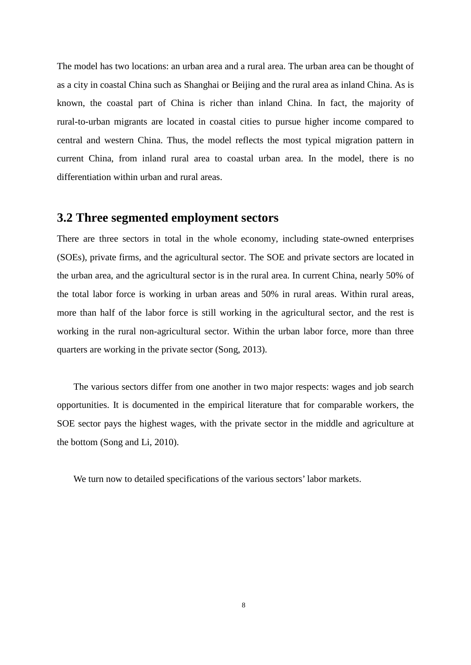The model has two locations: an urban area and a rural area. The urban area can be thought of as a city in coastal China such as Shanghai or Beijing and the rural area as inland China. As is known, the coastal part of China is richer than inland China. In fact, the majority of rural-to-urban migrants are located in coastal cities to pursue higher income compared to central and western China. Thus, the model reflects the most typical migration pattern in current China, from inland rural area to coastal urban area. In the model, there is no differentiation within urban and rural areas.

### **3.2 Three segmented employment sectors**

There are three sectors in total in the whole economy, including state-owned enterprises (SOEs), private firms, and the agricultural sector. The SOE and private sectors are located in the urban area, and the agricultural sector is in the rural area. In current China, nearly 50% of the total labor force is working in urban areas and 50% in rural areas. Within rural areas, more than half of the labor force is still working in the agricultural sector, and the rest is working in the rural non-agricultural sector. Within the urban labor force, more than three quarters are working in the private sector (Song, 2013).

The various sectors differ from one another in two major respects: wages and job search opportunities. It is documented in the empirical literature that for comparable workers, the SOE sector pays the highest wages, with the private sector in the middle and agriculture at the bottom (Song and Li, 2010).

We turn now to detailed specifications of the various sectors' labor markets.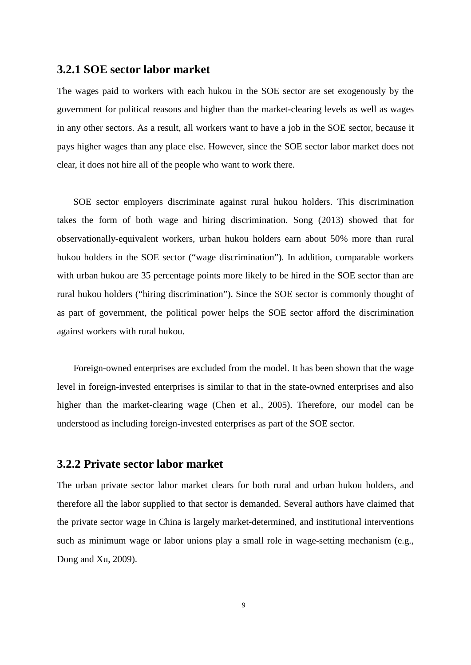#### **3.2.1 SOE sector labor market**

The wages paid to workers with each hukou in the SOE sector are set exogenously by the government for political reasons and higher than the market-clearing levels as well as wages in any other sectors. As a result, all workers want to have a job in the SOE sector, because it pays higher wages than any place else. However, since the SOE sector labor market does not clear, it does not hire all of the people who want to work there.

SOE sector employers discriminate against rural hukou holders. This discrimination takes the form of both wage and hiring discrimination. Song (2013) showed that for observationally-equivalent workers, urban hukou holders earn about 50% more than rural hukou holders in the SOE sector ("wage discrimination"). In addition, comparable workers with urban hukou are 35 percentage points more likely to be hired in the SOE sector than are rural hukou holders ("hiring discrimination"). Since the SOE sector is commonly thought of as part of government, the political power helps the SOE sector afford the discrimination against workers with rural hukou.

Foreign-owned enterprises are excluded from the model. It has been shown that the wage level in foreign-invested enterprises is similar to that in the state-owned enterprises and also higher than the market-clearing wage (Chen et al., 2005). Therefore, our model can be understood as including foreign-invested enterprises as part of the SOE sector.

### **3.2.2 Private sector labor market**

The urban private sector labor market clears for both rural and urban hukou holders, and therefore all the labor supplied to that sector is demanded. Several authors have claimed that the private sector wage in China is largely market-determined, and institutional interventions such as minimum wage or labor unions play a small role in wage-setting mechanism (e.g., Dong and Xu, 2009).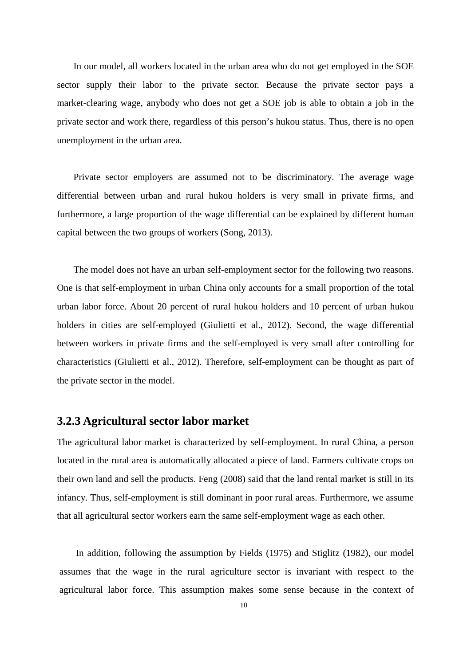In our model, all workers located in the urban area who do not get employed in the SOE sector supply their labor to the private sector. Because the private sector pays a market-clearing wage, anybody who does not get a SOE job is able to obtain a job in the private sector and work there, regardless of this person's hukou status. Thus, there is no open unemployment in the urban area.

Private sector employers are assumed not to be discriminatory. The average wage differential between urban and rural hukou holders is very small in private firms, and furthermore, a large proportion of the wage differential can be explained by different human capital between the two groups of workers (Song, 2013).

The model does not have an urban self-employment sector for the following two reasons. One is that self-employment in urban China only accounts for a small proportion of the total urban labor force. About 20 percent of rural hukou holders and 10 percent of urban hukou holders in cities are self-employed (Giulietti et al., 2012). Second, the wage differential between workers in private firms and the self-employed is very small after controlling for characteristics (Giulietti et al., 2012). Therefore, self-employment can be thought as part of the private sector in the model.

#### **3.2.3 Agricultural sector labor market**

The agricultural labor market is characterized by self-employment. In rural China, a person located in the rural area is automatically allocated a piece of land. Farmers cultivate crops on their own land and sell the products. Feng (2008) said that the land rental market is still in its infancy. Thus, self-employment is still dominant in poor rural areas. Furthermore, we assume that all agricultural sector workers earn the same self-employment wage as each other.

In addition, following the assumption by Fields (1975) and Stiglitz (1982), our model assumes that the wage in the rural agriculture sector is invariant with respect to the agricultural labor force. This assumption makes some sense because in the context of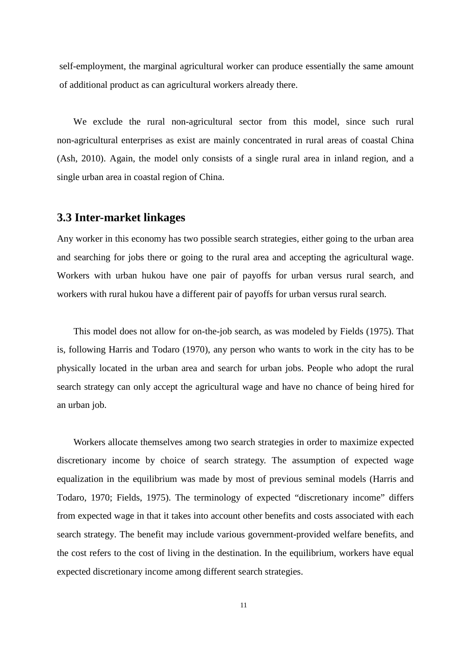self-employment, the marginal agricultural worker can produce essentially the same amount of additional product as can agricultural workers already there.

We exclude the rural non-agricultural sector from this model, since such rural non-agricultural enterprises as exist are mainly concentrated in rural areas of coastal China (Ash, 2010). Again, the model only consists of a single rural area in inland region, and a single urban area in coastal region of China.

#### **3.3 Inter-market linkages**

Any worker in this economy has two possible search strategies, either going to the urban area and searching for jobs there or going to the rural area and accepting the agricultural wage. Workers with urban hukou have one pair of payoffs for urban versus rural search, and workers with rural hukou have a different pair of payoffs for urban versus rural search.

This model does not allow for on-the-job search, as was modeled by Fields (1975). That is, following Harris and Todaro (1970), any person who wants to work in the city has to be physically located in the urban area and search for urban jobs. People who adopt the rural search strategy can only accept the agricultural wage and have no chance of being hired for an urban job.

Workers allocate themselves among two search strategies in order to maximize expected discretionary income by choice of search strategy. The assumption of expected wage equalization in the equilibrium was made by most of previous seminal models (Harris and Todaro, 1970; Fields, 1975). The terminology of expected "discretionary income" differs from expected wage in that it takes into account other benefits and costs associated with each search strategy. The benefit may include various government-provided welfare benefits, and the cost refers to the cost of living in the destination. In the equilibrium, workers have equal expected discretionary income among different search strategies.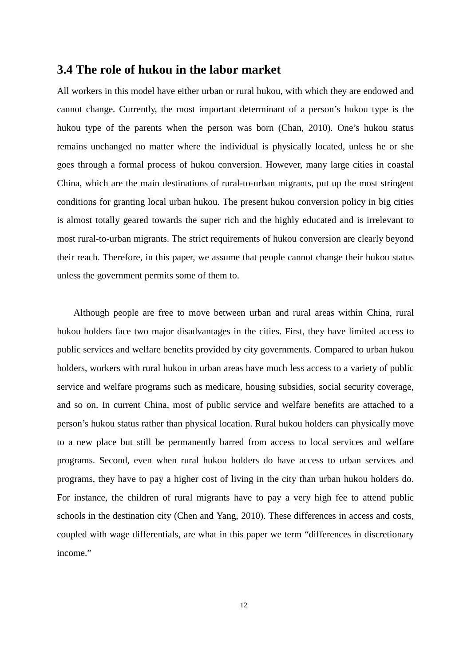### **3.4 The role of hukou in the labor market**

All workers in this model have either urban or rural hukou, with which they are endowed and cannot change. Currently, the most important determinant of a person's hukou type is the hukou type of the parents when the person was born (Chan, 2010). One's hukou status remains unchanged no matter where the individual is physically located, unless he or she goes through a formal process of hukou conversion. However, many large cities in coastal China, which are the main destinations of rural-to-urban migrants, put up the most stringent conditions for granting local urban hukou. The present hukou conversion policy in big cities is almost totally geared towards the super rich and the highly educated and is irrelevant to most rural-to-urban migrants. The strict requirements of hukou conversion are clearly beyond their reach. Therefore, in this paper, we assume that people cannot change their hukou status unless the government permits some of them to.

Although people are free to move between urban and rural areas within China, rural hukou holders face two major disadvantages in the cities. First, they have limited access to public services and welfare benefits provided by city governments. Compared to urban hukou holders, workers with rural hukou in urban areas have much less access to a variety of public service and welfare programs such as medicare, housing subsidies, social security coverage, and so on. In current China, most of public service and welfare benefits are attached to a person's hukou status rather than physical location. Rural hukou holders can physically move to a new place but still be permanently barred from access to local services and welfare programs. Second, even when rural hukou holders do have access to urban services and programs, they have to pay a higher cost of living in the city than urban hukou holders do. For instance, the children of rural migrants have to pay a very high fee to attend public schools in the destination city (Chen and Yang, 2010). These differences in access and costs, coupled with wage differentials, are what in this paper we term "differences in discretionary income."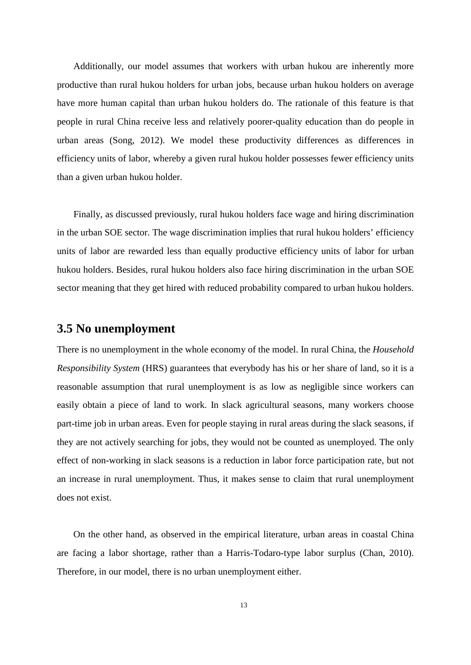Additionally, our model assumes that workers with urban hukou are inherently more productive than rural hukou holders for urban jobs, because urban hukou holders on average have more human capital than urban hukou holders do. The rationale of this feature is that people in rural China receive less and relatively poorer-quality education than do people in urban areas (Song, 2012). We model these productivity differences as differences in efficiency units of labor, whereby a given rural hukou holder possesses fewer efficiency units than a given urban hukou holder.

Finally, as discussed previously, rural hukou holders face wage and hiring discrimination in the urban SOE sector. The wage discrimination implies that rural hukou holders' efficiency units of labor are rewarded less than equally productive efficiency units of labor for urban hukou holders. Besides, rural hukou holders also face hiring discrimination in the urban SOE sector meaning that they get hired with reduced probability compared to urban hukou holders.

## **3.5 No unemployment**

There is no unemployment in the whole economy of the model. In rural China, the *Household Responsibility System* (HRS) guarantees that everybody has his or her share of land, so it is a reasonable assumption that rural unemployment is as low as negligible since workers can easily obtain a piece of land to work. In slack agricultural seasons, many workers choose part-time job in urban areas. Even for people staying in rural areas during the slack seasons, if they are not actively searching for jobs, they would not be counted as unemployed. The only effect of non-working in slack seasons is a reduction in labor force participation rate, but not an increase in rural unemployment. Thus, it makes sense to claim that rural unemployment does not exist.

On the other hand, as observed in the empirical literature, urban areas in coastal China are facing a labor shortage, rather than a Harris-Todaro-type labor surplus (Chan, 2010). Therefore, in our model, there is no urban unemployment either.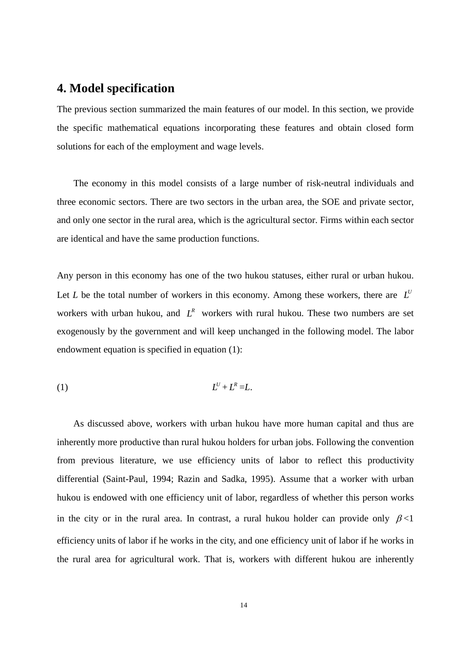## **4. Model specification**

The previous section summarized the main features of our model. In this section, we provide the specific mathematical equations incorporating these features and obtain closed form solutions for each of the employment and wage levels.

The economy in this model consists of a large number of risk-neutral individuals and three economic sectors. There are two sectors in the urban area, the SOE and private sector, and only one sector in the rural area, which is the agricultural sector. Firms within each sector are identical and have the same production functions.

Any person in this economy has one of the two hukou statuses, either rural or urban hukou. Let *L* be the total number of workers in this economy. Among these workers, there are  $L^U$ workers with urban hukou, and  $L^R$  workers with rural hukou. These two numbers are set exogenously by the government and will keep unchanged in the following model. The labor endowment equation is specified in equation (1):

$$
(1) \t\t\t L^U + L^R = L.
$$

As discussed above, workers with urban hukou have more human capital and thus are inherently more productive than rural hukou holders for urban jobs. Following the convention from previous literature, we use efficiency units of labor to reflect this productivity differential (Saint-Paul, 1994; Razin and Sadka, 1995). Assume that a worker with urban hukou is endowed with one efficiency unit of labor, regardless of whether this person works in the city or in the rural area. In contrast, a rural hukou holder can provide only  $\beta$ <1 efficiency units of labor if he works in the city, and one efficiency unit of labor if he works in the rural area for agricultural work. That is, workers with different hukou are inherently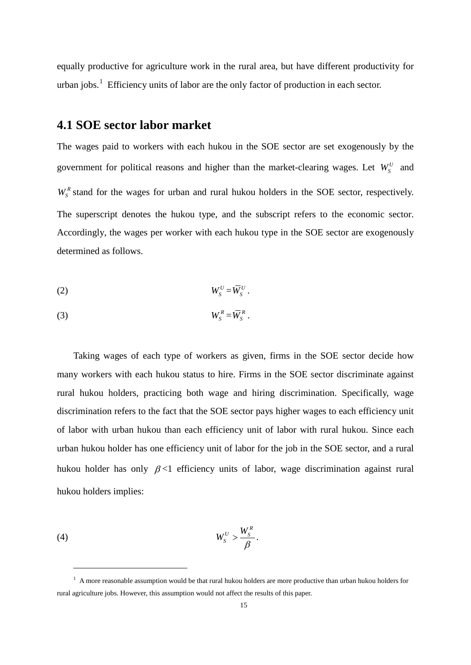equally productive for agriculture work in the rural area, but have different productivity for urban jobs. $\frac{1}{1}$  Efficiency units of labor are the only factor of production in each sector.

### **4.1 SOE sector labor market**

The wages paid to workers with each hukou in the SOE sector are set exogenously by the government for political reasons and higher than the market-clearing wages. Let  $W_s^U$  and  $W_s^R$  stand for the wages for urban and rural hukou holders in the SOE sector, respectively. The superscript denotes the hukou type, and the subscript refers to the economic sector. Accordingly, the wages per worker with each hukou type in the SOE sector are exogenously determined as follows.

$$
(2) \t W_S^U = \overline{W}_S^U.
$$

$$
(3) \t W_S^R = \overline{W}_S^R.
$$

Taking wages of each type of workers as given, firms in the SOE sector decide how many workers with each hukou status to hire. Firms in the SOE sector discriminate against rural hukou holders, practicing both wage and hiring discrimination. Specifically, wage discrimination refers to the fact that the SOE sector pays higher wages to each efficiency unit of labor with urban hukou than each efficiency unit of labor with rural hukou. Since each urban hukou holder has one efficiency unit of labor for the job in the SOE sector, and a rural hukou holder has only  $\beta$  <1 efficiency units of labor, wage discrimination against rural hukou holders implies:

<span id="page-16-0"></span>
$$
(4) \t W_S^U > \frac{W_S^R}{\beta}.
$$

 $\ddot{ }$ 

 $<sup>1</sup>$  A more reasonable assumption would be that rural hukou holders are more productive than urban hukou holders for</sup> rural agriculture jobs. However, this assumption would not affect the results of this paper.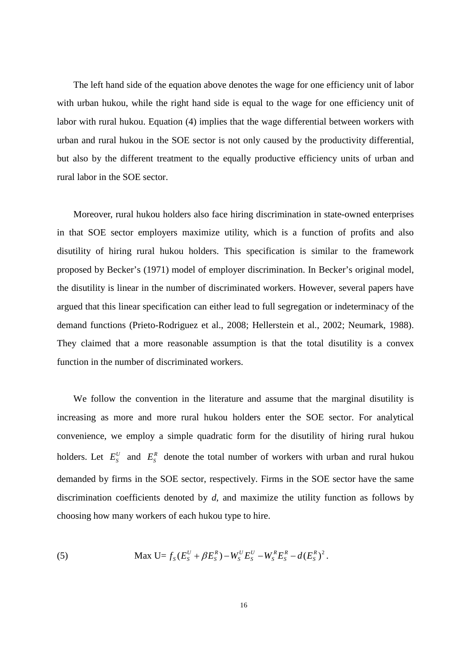The left hand side of the equation above denotes the wage for one efficiency unit of labor with urban hukou, while the right hand side is equal to the wage for one efficiency unit of labor with rural hukou. Equation (4) implies that the wage differential between workers with urban and rural hukou in the SOE sector is not only caused by the productivity differential, but also by the different treatment to the equally productive efficiency units of urban and rural labor in the SOE sector.

Moreover, rural hukou holders also face hiring discrimination in state-owned enterprises in that SOE sector employers maximize utility, which is a function of profits and also disutility of hiring rural hukou holders. This specification is similar to the framework proposed by Becker's (1971) model of employer discrimination. In Becker's original model, the disutility is linear in the number of discriminated workers. However, several papers have argued that this linear specification can either lead to full segregation or indeterminacy of the demand functions (Prieto-Rodriguez et al., 2008; Hellerstein et al., 2002; Neumark, 1988). They claimed that a more reasonable assumption is that the total disutility is a convex function in the number of discriminated workers.

We follow the convention in the literature and assume that the marginal disutility is increasing as more and more rural hukou holders enter the SOE sector. For analytical convenience, we employ a simple quadratic form for the disutility of hiring rural hukou holders. Let  $E_s^U$  and  $E_s^R$  denote the total number of workers with urban and rural hukou demanded by firms in the SOE sector, respectively. Firms in the SOE sector have the same discrimination coefficients denoted by *d*, and maximize the utility function as follows by choosing how many workers of each hukou type to hire.

(5) Max 
$$
U=f_S(E_S^U+\beta E_S^R)-W_S^U E_S^U-W_S^R E_S^R-d(E_S^R)^2
$$
.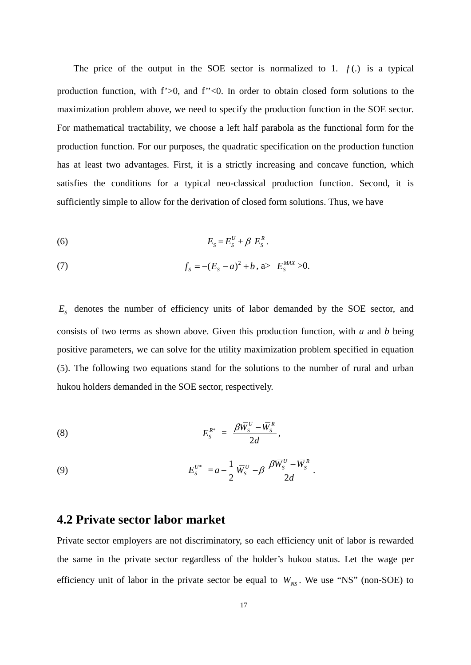The price of the output in the SOE sector is normalized to 1.  $f(.)$  is a typical production function, with f'>0, and f''<0. In order to obtain closed form solutions to the maximization problem above, we need to specify the production function in the SOE sector. For mathematical tractability, we choose a left half parabola as the functional form for the production function. For our purposes, the quadratic specification on the production function has at least two advantages. First, it is a strictly increasing and concave function, which satisfies the conditions for a typical neo-classical production function. Second, it is sufficiently simple to allow for the derivation of closed form solutions. Thus, we have

$$
(6) \t\t\t\t ES = ESU + \beta ESR.
$$

(7) 
$$
f_{S} = -(E_{S} - a)^{2} + b, \text{ a} > E_{S}^{MAX} > 0.
$$

 $E<sub>s</sub>$  denotes the number of efficiency units of labor demanded by the SOE sector, and consists of two terms as shown above. Given this production function, with *a* and *b* being positive parameters, we can solve for the utility maximization problem specified in equation (5). The following two equations stand for the solutions to the number of rural and urban hukou holders demanded in the SOE sector, respectively.

$$
E_S^{R^*} = \frac{\beta \overline{W}_S^U - \overline{W}_S^R}{2d},
$$

(9) 
$$
E_S^{U^*} = a - \frac{1}{2} \,\overline{W}_S^U - \beta \, \frac{\beta \overline{W}_S^U - \overline{W}_S^R}{2d}.
$$

### **4.2 Private sector labor market**

Private sector employers are not discriminatory, so each efficiency unit of labor is rewarded the same in the private sector regardless of the holder's hukou status. Let the wage per efficiency unit of labor in the private sector be equal to  $W_{NS}$ . We use "NS" (non-SOE) to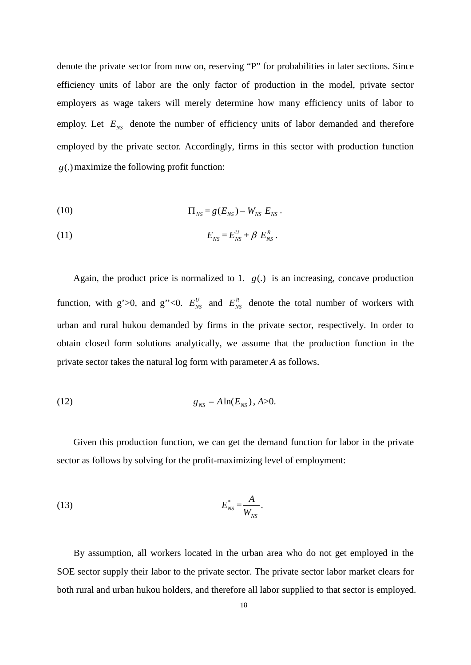denote the private sector from now on, reserving "P" for probabilities in later sections. Since efficiency units of labor are the only factor of production in the model, private sector employers as wage takers will merely determine how many efficiency units of labor to employ. Let  $E_{NS}$  denote the number of efficiency units of labor demanded and therefore employed by the private sector. Accordingly, firms in this sector with production function *g*(.)maximize the following profit function:

(10) 
$$
\Pi_{NS} = g(E_{NS}) - W_{NS} E_{NS}.
$$

$$
(11) \t\t\t\t ENS = ENSU + \beta ENSR.
$$

Again, the product price is normalized to 1.  $g(.)$  is an increasing, concave production function, with g'>0, and g''<0.  $E_{NS}^U$  and  $E_{NS}^R$  denote the total number of workers with urban and rural hukou demanded by firms in the private sector, respectively. In order to obtain closed form solutions analytically, we assume that the production function in the private sector takes the natural log form with parameter *A* as follows.

(12) 
$$
g_{_{NS}} = A \ln(E_{_{NS}}), A > 0.
$$

Given this production function, we can get the demand function for labor in the private sector as follows by solving for the profit-maximizing level of employment:

$$
E_{NS}^* = \frac{A}{W_{NS}}.
$$

By assumption, all workers located in the urban area who do not get employed in the SOE sector supply their labor to the private sector. The private sector labor market clears for both rural and urban hukou holders, and therefore all labor supplied to that sector is employed.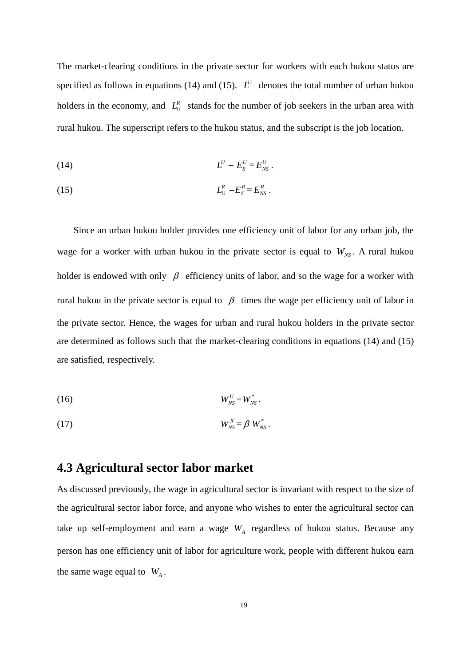The market-clearing conditions in the private sector for workers with each hukou status are specified as follows in equations (14) and (15).  $L^U$  denotes the total number of urban hukou holders in the economy, and  $L_U^R$  stands for the number of job seekers in the urban area with rural hukou. The superscript refers to the hukou status, and the subscript is the job location.

$$
(14) \t\t\t\t LU - ESU = ENSU.
$$

(15) *<sup>R</sup> LU <sup>R</sup>* −*ES* = *<sup>R</sup> ENS* .

Since an urban hukou holder provides one efficiency unit of labor for any urban job, the wage for a worker with urban hukou in the private sector is equal to  $W_{NS}$ . A rural hukou holder is endowed with only  $\beta$  efficiency units of labor, and so the wage for a worker with rural hukou in the private sector is equal to  $β$  times the wage per efficiency unit of labor in the private sector. Hence, the wages for urban and rural hukou holders in the private sector are determined as follows such that the market-clearing conditions in equations (14) and (15) are satisfied, respectively.

$$
(16) \t\t W_{NS}^U = W_{NS}^*.
$$

$$
(17) \t\t\t W_{NS}^R = \beta W_{NS}^*.
$$

## **4.3 Agricultural sector labor market**

As discussed previously, the wage in agricultural sector is invariant with respect to the size of the agricultural sector labor force, and anyone who wishes to enter the agricultural sector can take up self-employment and earn a wage  $W_A$  regardless of hukou status. Because any person has one efficiency unit of labor for agriculture work, people with different hukou earn the same wage equal to  $W_A$ .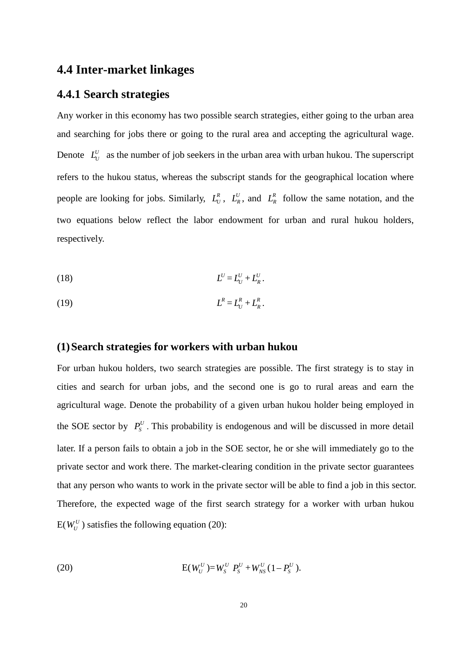## **4.4 Inter-market linkages**

#### **4.4.1 Search strategies**

Any worker in this economy has two possible search strategies, either going to the urban area and searching for jobs there or going to the rural area and accepting the agricultural wage. Denote  $L_U^U$  as the number of job seekers in the urban area with urban hukou. The superscript refers to the hukou status, whereas the subscript stands for the geographical location where people are looking for jobs. Similarly,  $L_{U}^{R}$ ,  $L_{R}^{U}$ , and  $L_{R}^{R}$  follow the same notation, and the two equations below reflect the labor endowment for urban and rural hukou holders, respectively.

$$
(18) \t\t\t\t L^U = L^U + L^U_R.
$$

(19) *<sup>R</sup> L* = *<sup>R</sup> LU* + *<sup>R</sup> LR* .

#### **(1)Search strategies for workers with urban hukou**

For urban hukou holders, two search strategies are possible. The first strategy is to stay in cities and search for urban jobs, and the second one is go to rural areas and earn the agricultural wage. Denote the probability of a given urban hukou holder being employed in the SOE sector by  $P_S^U$ . This probability is endogenous and will be discussed in more detail later. If a person fails to obtain a job in the SOE sector, he or she will immediately go to the private sector and work there. The market-clearing condition in the private sector guarantees that any person who wants to work in the private sector will be able to find a job in this sector. Therefore, the expected wage of the first search strategy for a worker with urban hukou  $E(W_U^U)$  satisfies the following equation (20):

(20) 
$$
E(W_U^U) = W_S^U P_S^U + W_{NS}^U (1 - P_S^U).
$$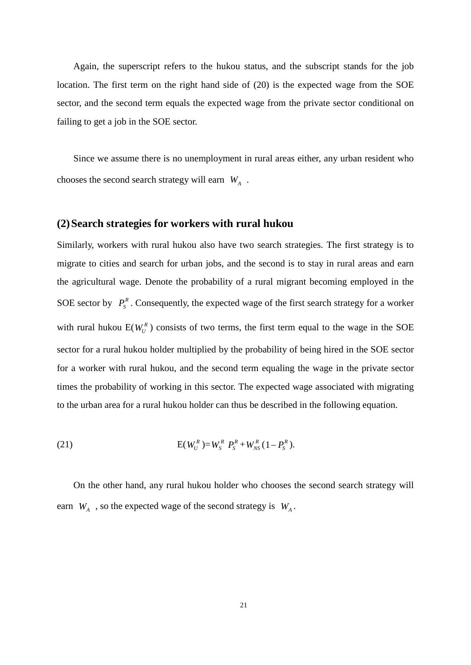Again, the superscript refers to the hukou status, and the subscript stands for the job location. The first term on the right hand side of (20) is the expected wage from the SOE sector, and the second term equals the expected wage from the private sector conditional on failing to get a job in the SOE sector.

Since we assume there is no unemployment in rural areas either, any urban resident who chooses the second search strategy will earn  $W_A$ .

#### **(2)Search strategies for workers with rural hukou**

Similarly, workers with rural hukou also have two search strategies. The first strategy is to migrate to cities and search for urban jobs, and the second is to stay in rural areas and earn the agricultural wage. Denote the probability of a rural migrant becoming employed in the SOE sector by  $P_s^R$ . Consequently, the expected wage of the first search strategy for a worker with rural hukou  $E(W_U^R)$  consists of two terms, the first term equal to the wage in the SOE sector for a rural hukou holder multiplied by the probability of being hired in the SOE sector for a worker with rural hukou, and the second term equaling the wage in the private sector times the probability of working in this sector. The expected wage associated with migrating to the urban area for a rural hukou holder can thus be described in the following equation.

(21) 
$$
E(W_U^R) = W_S^R \t P_S^R + W_{NS}^R (1 - P_S^R).
$$

On the other hand, any rural hukou holder who chooses the second search strategy will earn  $W_A$ , so the expected wage of the second strategy is  $W_A$ .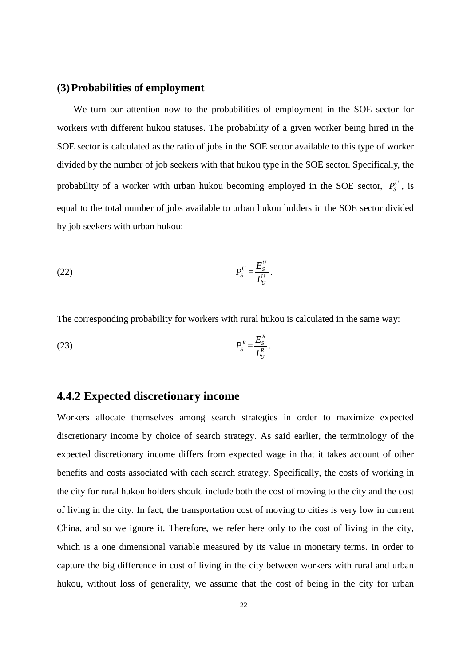#### **(3)Probabilities of employment**

We turn our attention now to the probabilities of employment in the SOE sector for workers with different hukou statuses. The probability of a given worker being hired in the SOE sector is calculated as the ratio of jobs in the SOE sector available to this type of worker divided by the number of job seekers with that hukou type in the SOE sector. Specifically, the probability of a worker with urban hukou becoming employed in the SOE sector,  $P_s^U$ , is equal to the total number of jobs available to urban hukou holders in the SOE sector divided by job seekers with urban hukou:

$$
(22) \t\t\t PSU = \frac{ESU}{LUU}.
$$

The corresponding probability for workers with rural hukou is calculated in the same way:

$$
(23) \t\t\t P_S^R = \frac{E_S^R}{L_U^R}.
$$

#### **4.4.2 Expected discretionary income**

Workers allocate themselves among search strategies in order to maximize expected discretionary income by choice of search strategy. As said earlier, the terminology of the expected discretionary income differs from expected wage in that it takes account of other benefits and costs associated with each search strategy. Specifically, the costs of working in the city for rural hukou holders should include both the cost of moving to the city and the cost of living in the city. In fact, the transportation cost of moving to cities is very low in current China, and so we ignore it. Therefore, we refer here only to the cost of living in the city, which is a one dimensional variable measured by its value in monetary terms. In order to capture the big difference in cost of living in the city between workers with rural and urban hukou, without loss of generality, we assume that the cost of being in the city for urban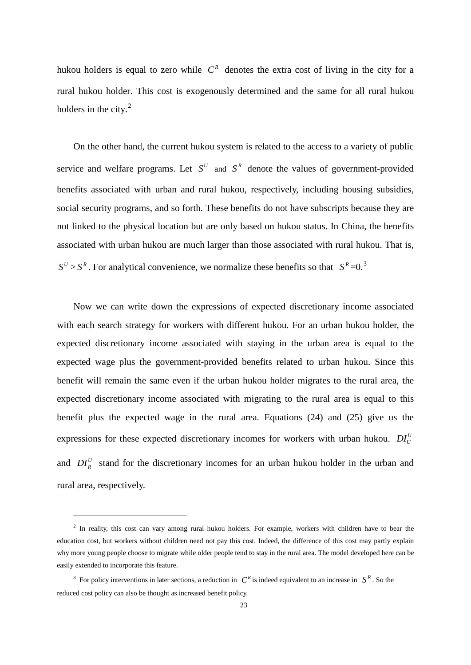hukou holders is equal to zero while  $C<sup>R</sup>$  denotes the extra cost of living in the city for a rural hukou holder. This cost is exogenously determined and the same for all rural hukou holders in the city. $<sup>2</sup>$  $<sup>2</sup>$  $<sup>2</sup>$ </sup>

On the other hand, the current hukou system is related to the access to a variety of public service and welfare programs. Let  $S^U$  and  $S^R$  denote the values of government-provided benefits associated with urban and rural hukou, respectively, including housing subsidies, social security programs, and so forth. These benefits do not have subscripts because they are not linked to the physical location but are only based on hukou status. In China, the benefits associated with urban hukou are much larger than those associated with rural hukou. That is,  $S^U > S^R$ . For analytical convenience, we normalize these benefits so that  $S^R = 0$ .<sup>[3](#page-24-0)</sup>

Now we can write down the expressions of expected discretionary income associated with each search strategy for workers with different hukou. For an urban hukou holder, the expected discretionary income associated with staying in the urban area is equal to the expected wage plus the government-provided benefits related to urban hukou. Since this benefit will remain the same even if the urban hukou holder migrates to the rural area, the expected discretionary income associated with migrating to the rural area is equal to this benefit plus the expected wage in the rural area. Equations (24) and (25) give us the expressions for these expected discretionary incomes for workers with urban hukou.  $DI_{U}^{U}$ and  $DI_R^U$  stand for the discretionary incomes for an urban hukou holder in the urban and rural area, respectively.

 $\ddot{ }$ 

<span id="page-24-1"></span><sup>&</sup>lt;sup>2</sup> In reality, this cost can vary among rural hukou holders. For example, workers with children have to bear the education cost, but workers without children need not pay this cost. Indeed, the difference of this cost may partly explain why more young people choose to migrate while older people tend to stay in the rural area. The model developed here can be easily extended to incorporate this feature.

<span id="page-24-0"></span><sup>&</sup>lt;sup>3</sup> For policy interventions in later sections, a reduction in  $C<sup>R</sup>$  is indeed equivalent to an increase in  $S<sup>R</sup>$ . So the reduced cost policy can also be thought as increased benefit policy.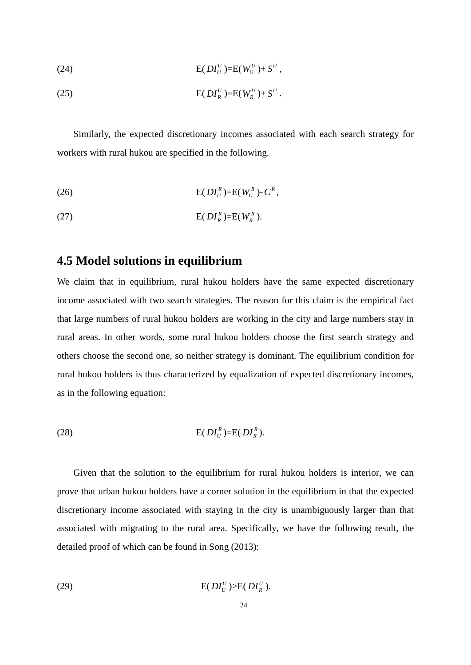(24) 
$$
E(DI_U^U)=E(W_U^U)+S^U,
$$

(25) 
$$
E(DI_R^U)=E(W_R^U)+S^U.
$$

Similarly, the expected discretionary incomes associated with each search strategy for workers with rural hukou are specified in the following.

(26) 
$$
E(DI_U^R) = E(W_U^R) - C^R,
$$

$$
E(DI_R^R)=E(W_R^R).
$$

## **4.5 Model solutions in equilibrium**

We claim that in equilibrium, rural hukou holders have the same expected discretionary income associated with two search strategies. The reason for this claim is the empirical fact that large numbers of rural hukou holders are working in the city and large numbers stay in rural areas. In other words, some rural hukou holders choose the first search strategy and others choose the second one, so neither strategy is dominant. The equilibrium condition for rural hukou holders is thus characterized by equalization of expected discretionary incomes, as in the following equation:

$$
\text{E}(DI_U^R) = \text{E}(DI_R^R).
$$

Given that the solution to the equilibrium for rural hukou holders is interior, we can prove that urban hukou holders have a corner solution in the equilibrium in that the expected discretionary income associated with staying in the city is unambiguously larger than that associated with migrating to the rural area. Specifically, we have the following result, the detailed proof of which can be found in Song (2013):

$$
\text{E}(DI_U^U) > \text{E}(DI_R^U).
$$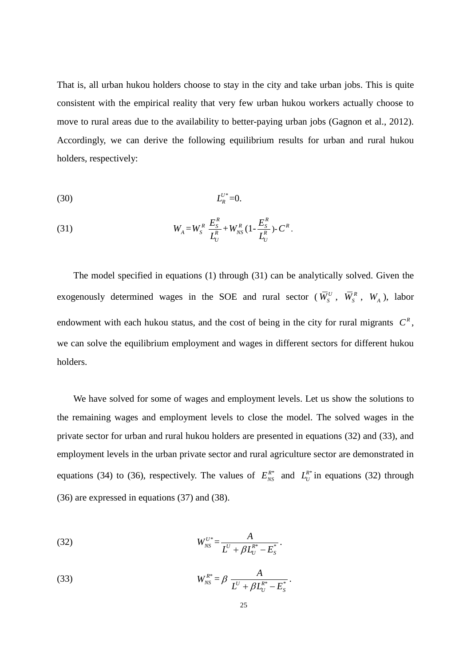That is, all urban hukou holders choose to stay in the city and take urban jobs. This is quite consistent with the empirical reality that very few urban hukou workers actually choose to move to rural areas due to the availability to better-paying urban jobs (Gagnon et al., 2012). Accordingly, we can derive the following equilibrium results for urban and rural hukou holders, respectively:

$$
(30) \t\t\t L_R^{U^*}=0.
$$

(31) 
$$
W_{A} = W_{S}^{R} \frac{E_{S}^{R}}{L_{U}^{R}} + W_{NS}^{R} (1 - \frac{E_{S}^{R}}{L_{U}^{R}}) - C^{R}.
$$

The model specified in equations (1) through (31) can be analytically solved. Given the exogenously determined wages in the SOE and rural sector ( $\overline{W}_s^U$ ,  $\overline{W}_s^R$ ,  $W_A$ ), labor endowment with each hukou status, and the cost of being in the city for rural migrants  $C<sup>R</sup>$ , we can solve the equilibrium employment and wages in different sectors for different hukou holders.

We have solved for some of wages and employment levels. Let us show the solutions to the remaining wages and employment levels to close the model. The solved wages in the private sector for urban and rural hukou holders are presented in equations (32) and (33), and employment levels in the urban private sector and rural agriculture sector are demonstrated in equations (34) to (36), respectively. The values of  $E_{NS}^{R*}$  and  $L_U^{R*}$  in equations (32) through (36) are expressed in equations (37) and (38).

(32) 
$$
W_{NS}^{U^*} = \frac{A}{L^U + \beta L_U^{R^*} - E_S^*}.
$$

(33) 
$$
W_{NS}^{R^*} = \beta \frac{A}{L^U + \beta L_U^{R^*} - E_S^*}.
$$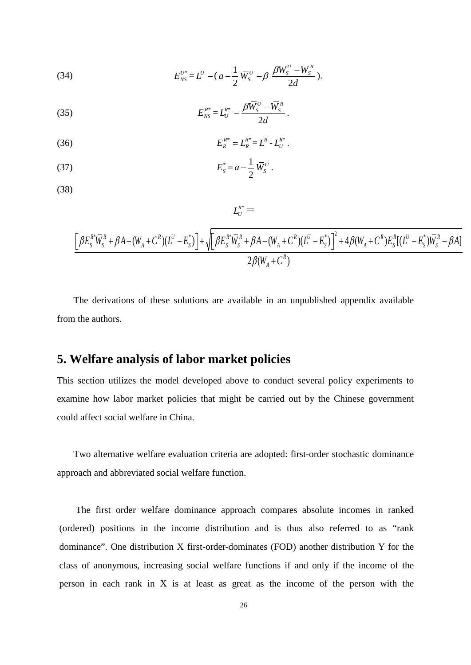(34) 
$$
E_{NS}^{U^*} = L^U - (a - \frac{1}{2} \overline{W}_S^U - \beta \frac{\beta \overline{W}_S^U - \overline{W}_S^R}{2d}).
$$

(35) 
$$
E_{NS}^{R^*} = L_U^{R^*} - \frac{\beta \overline{W}_S^U - \overline{W}_S^R}{2d}.
$$

(36) 
$$
E_R^{R^*} = L_R^{R^*} = L^R - L_U^{R^*}.
$$

(37) 
$$
E_{s}^{*} = a - \frac{1}{2} \,\overline{W}_{s}^{U}.
$$

(38)

$$
\mathit{L}^{R^*}_U =
$$

$$
\frac{\left[\beta E_{S}^{R*}\overline{W}_{S}^{R} + \beta A - (W_{A} + C^{R})(L^{U} - E_{S}^{*})\right] + \sqrt{\left[\beta E_{S}^{R*}\overline{W}_{S}^{R} + \beta A - (W_{A} + C^{R})(L^{U} - E_{S}^{*})\right]^{2} + 4\beta(W_{A} + C^{R})E_{S}^{R}[(L^{U} - E_{S}^{*})\overline{W}_{S}^{R} - \beta A]}{2\beta(W_{A} + C^{R})}
$$

The derivations of these solutions are available in an unpublished appendix available from the authors.

## **5. Welfare analysis of labor market policies**

This section utilizes the model developed above to conduct several policy experiments to examine how labor market policies that might be carried out by the Chinese government could affect social welfare in China.

Two alternative welfare evaluation criteria are adopted: first-order stochastic dominance approach and abbreviated social welfare function.

The first order welfare dominance approach compares absolute incomes in ranked (ordered) positions in the income distribution and is thus also referred to as "rank dominance". One distribution X first-order-dominates (FOD) another distribution Y for the class of anonymous, increasing social welfare functions if and only if the income of the person in each rank in X is at least as great as the income of the person with the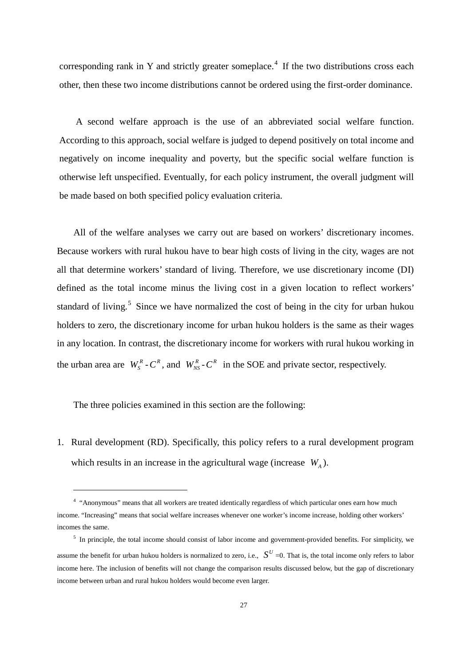corresponding rank in Y and strictly greater someplace.<sup>[4](#page-24-1)</sup> If the two distributions cross each other, then these two income distributions cannot be ordered using the first-order dominance.

A second welfare approach is the use of an abbreviated social welfare function. According to this approach, social welfare is judged to depend positively on total income and negatively on income inequality and poverty, but the specific social welfare function is otherwise left unspecified. Eventually, for each policy instrument, the overall judgment will be made based on both specified policy evaluation criteria.

All of the welfare analyses we carry out are based on workers' discretionary incomes. Because workers with rural hukou have to bear high costs of living in the city, wages are not all that determine workers' standard of living. Therefore, we use discretionary income (DI) defined as the total income minus the living cost in a given location to reflect workers' standard of living.<sup>[5](#page-28-0)</sup> Since we have normalized the cost of being in the city for urban hukou holders to zero, the discretionary income for urban hukou holders is the same as their wages in any location. In contrast, the discretionary income for workers with rural hukou working in the urban area are  $W_S^R$  -  $C^R$ , and  $W_{NS}^R$  -  $C^R$  in the SOE and private sector, respectively.

The three policies examined in this section are the following:

 $\overline{a}$ 

1. Rural development (RD). Specifically, this policy refers to a rural development program which results in an increase in the agricultural wage (increase  $W_A$ ).

<sup>4</sup> "Anonymous" means that all workers are treated identically regardless of which particular ones earn how much income. "Increasing" means that social welfare increases whenever one worker's income increase, holding other workers' incomes the same.

<span id="page-28-1"></span><span id="page-28-0"></span><sup>&</sup>lt;sup>5</sup> In principle, the total income should consist of labor income and government-provided benefits. For simplicity, we assume the benefit for urban hukou holders is normalized to zero, i.e.,  $S^U = 0$ . That is, the total income only refers to labor income here. The inclusion of benefits will not change the comparison results discussed below, but the gap of discretionary income between urban and rural hukou holders would become even larger.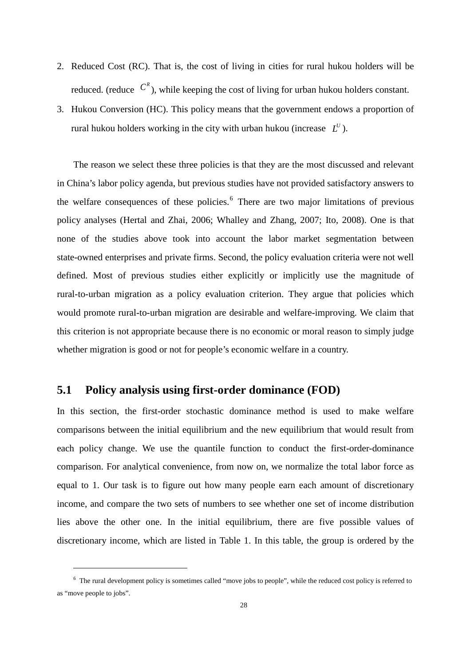- 2. Reduced Cost (RC). That is, the cost of living in cities for rural hukou holders will be reduced. (reduce  $C^R$ ), while keeping the cost of living for urban hukou holders constant.
- 3. Hukou Conversion (HC). This policy means that the government endows a proportion of rural hukou holders working in the city with urban hukou (increase  $L^U$ ).

The reason we select these three policies is that they are the most discussed and relevant in China's labor policy agenda, but previous studies have not provided satisfactory answers to the welfare consequences of these policies.<sup>[6](#page-28-1)</sup> There are two major limitations of previous policy analyses (Hertal and Zhai, 2006; Whalley and Zhang, 2007; Ito, 2008). One is that none of the studies above took into account the labor market segmentation between state-owned enterprises and private firms. Second, the policy evaluation criteria were not well defined. Most of previous studies either explicitly or implicitly use the magnitude of rural-to-urban migration as a policy evaluation criterion. They argue that policies which would promote rural-to-urban migration are desirable and welfare-improving. We claim that this criterion is not appropriate because there is no economic or moral reason to simply judge whether migration is good or not for people's economic welfare in a country.

### **5.1 Policy analysis using first-order dominance (FOD)**

 $\ddot{ }$ 

In this section, the first-order stochastic dominance method is used to make welfare comparisons between the initial equilibrium and the new equilibrium that would result from each policy change. We use the quantile function to conduct the first-order-dominance comparison. For analytical convenience, from now on, we normalize the total labor force as equal to 1. Our task is to figure out how many people earn each amount of discretionary income, and compare the two sets of numbers to see whether one set of income distribution lies above the other one. In the initial equilibrium, there are five possible values of discretionary income, which are listed in Table 1. In this table, the group is ordered by the

<span id="page-29-0"></span> $6$  The rural development policy is sometimes called "move jobs to people", while the reduced cost policy is referred to as "move people to jobs".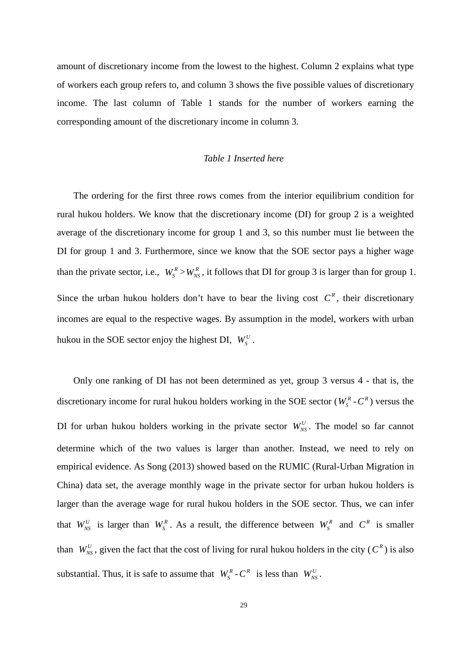amount of discretionary income from the lowest to the highest. Column 2 explains what type of workers each group refers to, and column 3 shows the five possible values of discretionary income. The last column of Table 1 stands for the number of workers earning the corresponding amount of the discretionary income in column 3.

#### *Table 1 Inserted here*

The ordering for the first three rows comes from the interior equilibrium condition for rural hukou holders. We know that the discretionary income (DI) for group 2 is a weighted average of the discretionary income for group 1 and 3, so this number must lie between the DI for group 1 and 3. Furthermore, since we know that the SOE sector pays a higher wage than the private sector, i.e.,  $W_S^R > W_{NS}^R$ , it follows that DI for group 3 is larger than for group 1. Since the urban hukou holders don't have to bear the living cost  $C<sup>R</sup>$ , their discretionary incomes are equal to the respective wages. By assumption in the model, workers with urban hukou in the SOE sector enjoy the highest DI,  $W_S^U$ .

Only one ranking of DI has not been determined as yet, group 3 versus 4 - that is, the discretionary income for rural hukou holders working in the SOE sector ( $W_s^R$ - $C^R$ ) versus the DI for urban hukou holders working in the private sector  $W_{NS}^U$ . The model so far cannot determine which of the two values is larger than another. Instead, we need to rely on empirical evidence. As Song (2013) showed based on the RUMIC (Rural-Urban Migration in China) data set, the average monthly wage in the private sector for urban hukou holders is larger than the average wage for rural hukou holders in the SOE sector. Thus, we can infer that  $W_{NS}^U$  is larger than  $W_S^R$ . As a result, the difference between  $W_S^R$  and  $C^R$  is smaller than  $W_N^U$ , given the fact that the cost of living for rural hukou holders in the city ( $C^R$ ) is also substantial. Thus, it is safe to assume that  $W_s^R$  -  $C^R$  is less than  $W_{NS}^U$ .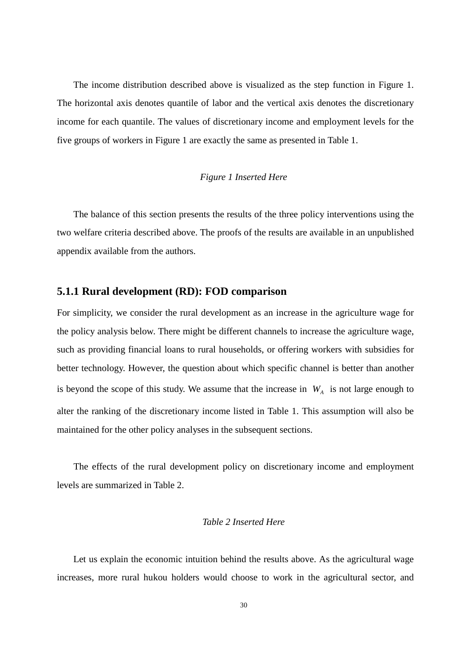The income distribution described above is visualized as the step function in Figure 1. The horizontal axis denotes quantile of labor and the vertical axis denotes the discretionary income for each quantile. The values of discretionary income and employment levels for the five groups of workers in Figure 1 are exactly the same as presented in Table 1.

#### *Figure 1 Inserted Here*

The balance of this section presents the results of the three policy interventions using the two welfare criteria described above. The proofs of the results are available in an unpublished appendix available from the authors.

#### **5.1.1 Rural development (RD): FOD comparison**

For simplicity, we consider the rural development as an increase in the agriculture wage for the policy analysis below. There might be different channels to increase the agriculture wage, such as providing financial loans to rural households, or offering workers with subsidies for better technology. However, the question about which specific channel is better than another is beyond the scope of this study. We assume that the increase in  $W_A$  is not large enough to alter the ranking of the discretionary income listed in Table 1. This assumption will also be maintained for the other policy analyses in the subsequent sections.

The effects of the rural development policy on discretionary income and employment levels are summarized in Table 2.

#### *Table 2 Inserted Here*

Let us explain the economic intuition behind the results above. As the agricultural wage increases, more rural hukou holders would choose to work in the agricultural sector, and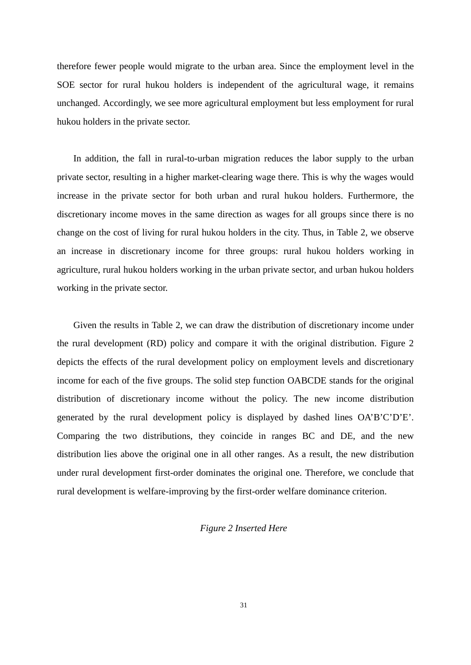therefore fewer people would migrate to the urban area. Since the employment level in the SOE sector for rural hukou holders is independent of the agricultural wage, it remains unchanged. Accordingly, we see more agricultural employment but less employment for rural hukou holders in the private sector.

In addition, the fall in rural-to-urban migration reduces the labor supply to the urban private sector, resulting in a higher market-clearing wage there. This is why the wages would increase in the private sector for both urban and rural hukou holders. Furthermore, the discretionary income moves in the same direction as wages for all groups since there is no change on the cost of living for rural hukou holders in the city. Thus, in Table 2, we observe an increase in discretionary income for three groups: rural hukou holders working in agriculture, rural hukou holders working in the urban private sector, and urban hukou holders working in the private sector.

Given the results in Table 2, we can draw the distribution of discretionary income under the rural development (RD) policy and compare it with the original distribution. Figure 2 depicts the effects of the rural development policy on employment levels and discretionary income for each of the five groups. The solid step function OABCDE stands for the original distribution of discretionary income without the policy. The new income distribution generated by the rural development policy is displayed by dashed lines OA'B'C'D'E'. Comparing the two distributions, they coincide in ranges BC and DE, and the new distribution lies above the original one in all other ranges. As a result, the new distribution under rural development first-order dominates the original one. Therefore, we conclude that rural development is welfare-improving by the first-order welfare dominance criterion.

#### *Figure 2 Inserted Here*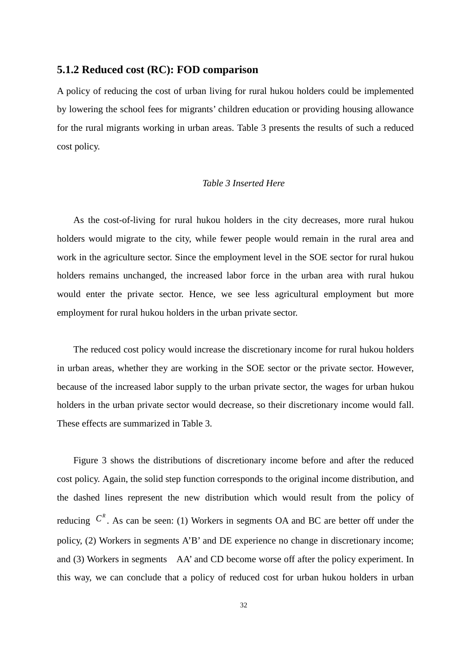#### **5.1.2 Reduced cost (RC): FOD comparison**

A policy of reducing the cost of urban living for rural hukou holders could be implemented by lowering the school fees for migrants' children education or providing housing allowance for the rural migrants working in urban areas. Table 3 presents the results of such a reduced cost policy.

#### *Table 3 Inserted Here*

As the cost-of-living for rural hukou holders in the city decreases, more rural hukou holders would migrate to the city, while fewer people would remain in the rural area and work in the agriculture sector. Since the employment level in the SOE sector for rural hukou holders remains unchanged, the increased labor force in the urban area with rural hukou would enter the private sector. Hence, we see less agricultural employment but more employment for rural hukou holders in the urban private sector.

The reduced cost policy would increase the discretionary income for rural hukou holders in urban areas, whether they are working in the SOE sector or the private sector. However, because of the increased labor supply to the urban private sector, the wages for urban hukou holders in the urban private sector would decrease, so their discretionary income would fall. These effects are summarized in Table 3.

Figure 3 shows the distributions of discretionary income before and after the reduced cost policy. Again, the solid step function corresponds to the original income distribution, and the dashed lines represent the new distribution which would result from the policy of reducing  $C^R$ . As can be seen: (1) Workers in segments OA and BC are better off under the policy, (2) Workers in segments A'B' and DE experience no change in discretionary income; and (3) Workers in segments AA' and CD become worse off after the policy experiment. In this way, we can conclude that a policy of reduced cost for urban hukou holders in urban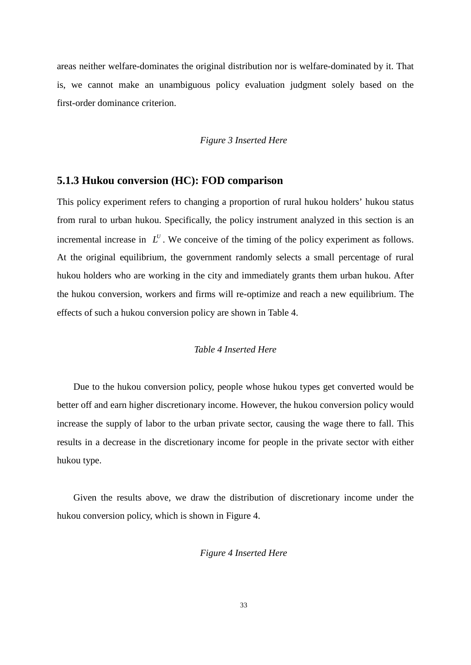areas neither welfare-dominates the original distribution nor is welfare-dominated by it. That is, we cannot make an unambiguous policy evaluation judgment solely based on the first-order dominance criterion.

#### *Figure 3 Inserted Here*

#### **5.1.3 Hukou conversion (HC): FOD comparison**

This policy experiment refers to changing a proportion of rural hukou holders' hukou status from rural to urban hukou. Specifically, the policy instrument analyzed in this section is an incremental increase in  $L^U$ . We conceive of the timing of the policy experiment as follows. At the original equilibrium, the government randomly selects a small percentage of rural hukou holders who are working in the city and immediately grants them urban hukou. After the hukou conversion, workers and firms will re-optimize and reach a new equilibrium. The effects of such a hukou conversion policy are shown in Table 4.

#### *Table 4 Inserted Here*

Due to the hukou conversion policy, people whose hukou types get converted would be better off and earn higher discretionary income. However, the hukou conversion policy would increase the supply of labor to the urban private sector, causing the wage there to fall. This results in a decrease in the discretionary income for people in the private sector with either hukou type.

Given the results above, we draw the distribution of discretionary income under the hukou conversion policy, which is shown in Figure 4.

#### *Figure 4 Inserted Here*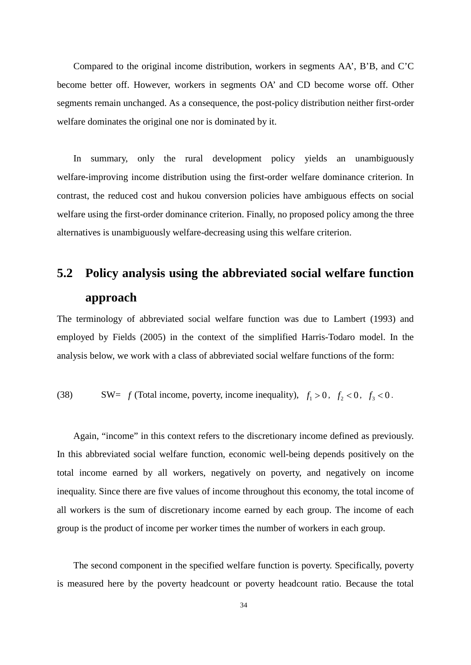Compared to the original income distribution, workers in segments AA', B'B, and C'C become better off. However, workers in segments OA' and CD become worse off. Other segments remain unchanged. As a consequence, the post-policy distribution neither first-order welfare dominates the original one nor is dominated by it.

In summary, only the rural development policy yields an unambiguously welfare-improving income distribution using the first-order welfare dominance criterion. In contrast, the reduced cost and hukou conversion policies have ambiguous effects on social welfare using the first-order dominance criterion. Finally, no proposed policy among the three alternatives is unambiguously welfare-decreasing using this welfare criterion.

# **5.2 Policy analysis using the abbreviated social welfare function approach**

The terminology of abbreviated social welfare function was due to Lambert (1993) and employed by Fields (2005) in the context of the simplified Harris-Todaro model. In the analysis below, we work with a class of abbreviated social welfare functions of the form:

(38) SW=  $f$  (Total income, poverty, income inequality),  $f_1 > 0$ ,  $f_2 < 0$ ,  $f_3 < 0$ .

Again, "income" in this context refers to the discretionary income defined as previously. In this abbreviated social welfare function, economic well-being depends positively on the total income earned by all workers, negatively on poverty, and negatively on income inequality. Since there are five values of income throughout this economy, the total income of all workers is the sum of discretionary income earned by each group. The income of each group is the product of income per worker times the number of workers in each group.

The second component in the specified welfare function is poverty. Specifically, poverty is measured here by the poverty headcount or poverty headcount ratio. Because the total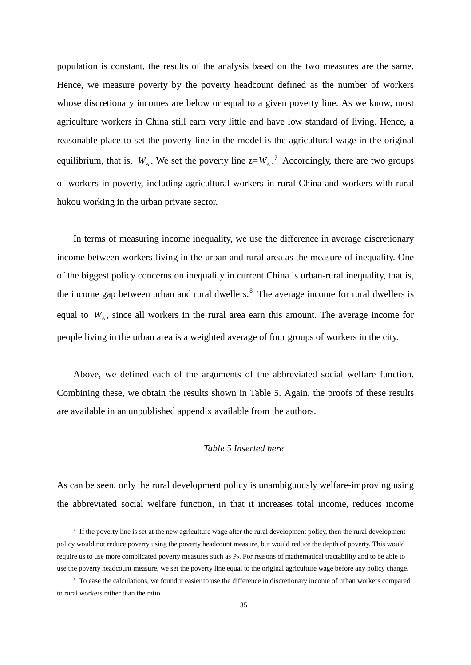population is constant, the results of the analysis based on the two measures are the same. Hence, we measure poverty by the poverty headcount defined as the number of workers whose discretionary incomes are below or equal to a given poverty line. As we know, most agriculture workers in China still earn very little and have low standard of living. Hence, a reasonable place to set the poverty line in the model is the agricultural wage in the original equilibrium, that is,  $W_A$ . We set the poverty line  $z = W_A$ .<sup>[7](#page-29-0)</sup> Accordingly, there are two groups of workers in poverty, including agricultural workers in rural China and workers with rural hukou working in the urban private sector.

In terms of measuring income inequality, we use the difference in average discretionary income between workers living in the urban and rural area as the measure of inequality. One of the biggest policy concerns on inequality in current China is urban-rural inequality, that is, the income gap between urban and rural dwellers.<sup>[8](#page-36-0)</sup> The average income for rural dwellers is equal to  $W_{A}$ , since all workers in the rural area earn this amount. The average income for people living in the urban area is a weighted average of four groups of workers in the city.

Above, we defined each of the arguments of the abbreviated social welfare function. Combining these, we obtain the results shown in Table 5. Again, the proofs of these results are available in an unpublished appendix available from the authors.

#### *Table 5 Inserted here*

As can be seen, only the rural development policy is unambiguously welfare-improving using the abbreviated social welfare function, in that it increases total income, reduces income

 $\overline{a}$ 

 $<sup>7</sup>$  If the poverty line is set at the new agriculture wage after the rural development policy, then the rural development</sup> policy would not reduce poverty using the poverty headcount measure, but would reduce the depth of poverty. This would require us to use more complicated poverty measures such as  $P<sub>2</sub>$ . For reasons of mathematical tractability and to be able to use the poverty headcount measure, we set the poverty line equal to the original agriculture wage before any policy change.

<span id="page-36-0"></span><sup>&</sup>lt;sup>8</sup> To ease the calculations, we found it easier to use the difference in discretionary income of urban workers compared to rural workers rather than the ratio.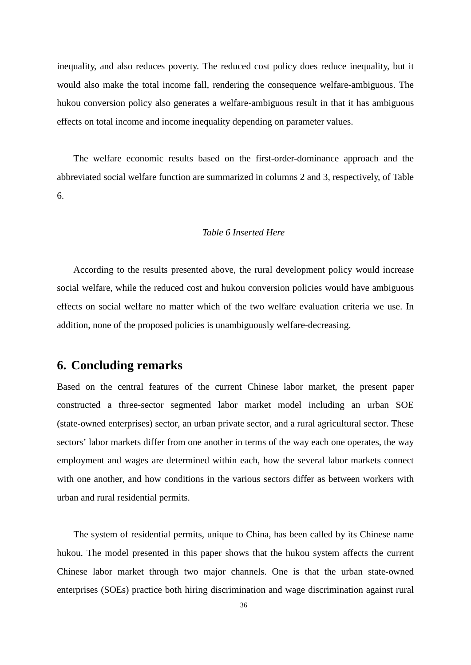inequality, and also reduces poverty. The reduced cost policy does reduce inequality, but it would also make the total income fall, rendering the consequence welfare-ambiguous. The hukou conversion policy also generates a welfare-ambiguous result in that it has ambiguous effects on total income and income inequality depending on parameter values.

The welfare economic results based on the first-order-dominance approach and the abbreviated social welfare function are summarized in columns 2 and 3, respectively, of Table 6.

#### *Table 6 Inserted Here*

According to the results presented above, the rural development policy would increase social welfare, while the reduced cost and hukou conversion policies would have ambiguous effects on social welfare no matter which of the two welfare evaluation criteria we use. In addition, none of the proposed policies is unambiguously welfare-decreasing.

### **6. Concluding remarks**

Based on the central features of the current Chinese labor market, the present paper constructed a three-sector segmented labor market model including an urban SOE (state-owned enterprises) sector, an urban private sector, and a rural agricultural sector. These sectors' labor markets differ from one another in terms of the way each one operates, the way employment and wages are determined within each, how the several labor markets connect with one another, and how conditions in the various sectors differ as between workers with urban and rural residential permits.

The system of residential permits, unique to China, has been called by its Chinese name hukou. The model presented in this paper shows that the hukou system affects the current Chinese labor market through two major channels. One is that the urban state-owned enterprises (SOEs) practice both hiring discrimination and wage discrimination against rural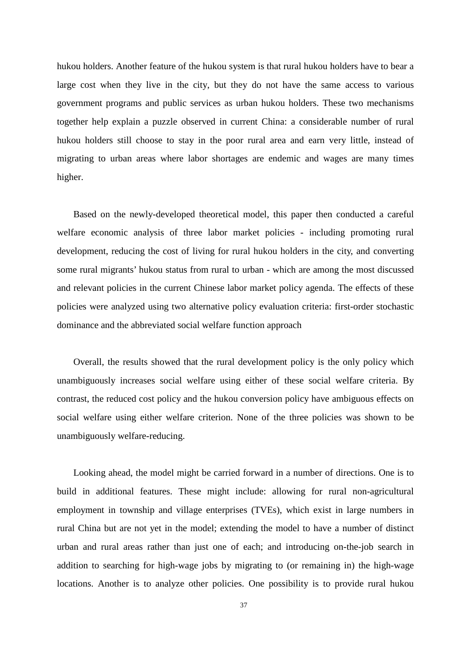hukou holders. Another feature of the hukou system is that rural hukou holders have to bear a large cost when they live in the city, but they do not have the same access to various government programs and public services as urban hukou holders. These two mechanisms together help explain a puzzle observed in current China: a considerable number of rural hukou holders still choose to stay in the poor rural area and earn very little, instead of migrating to urban areas where labor shortages are endemic and wages are many times higher.

Based on the newly-developed theoretical model, this paper then conducted a careful welfare economic analysis of three labor market policies - including promoting rural development, reducing the cost of living for rural hukou holders in the city, and converting some rural migrants' hukou status from rural to urban - which are among the most discussed and relevant policies in the current Chinese labor market policy agenda. The effects of these policies were analyzed using two alternative policy evaluation criteria: first-order stochastic dominance and the abbreviated social welfare function approach

Overall, the results showed that the rural development policy is the only policy which unambiguously increases social welfare using either of these social welfare criteria. By contrast, the reduced cost policy and the hukou conversion policy have ambiguous effects on social welfare using either welfare criterion. None of the three policies was shown to be unambiguously welfare-reducing.

Looking ahead, the model might be carried forward in a number of directions. One is to build in additional features. These might include: allowing for rural non-agricultural employment in township and village enterprises (TVEs), which exist in large numbers in rural China but are not yet in the model; extending the model to have a number of distinct urban and rural areas rather than just one of each; and introducing on-the-job search in addition to searching for high-wage jobs by migrating to (or remaining in) the high-wage locations. Another is to analyze other policies. One possibility is to provide rural hukou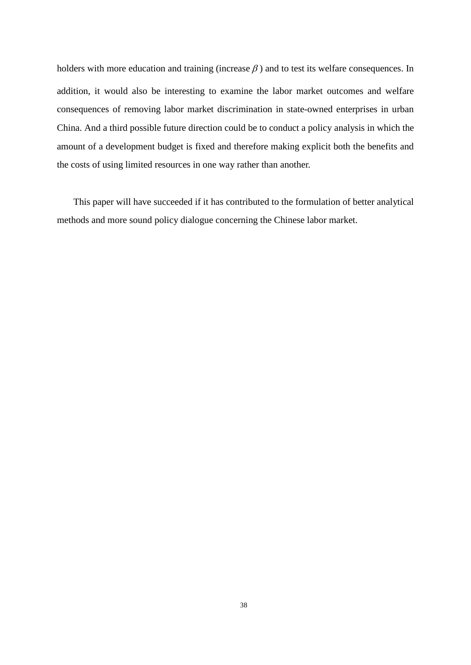holders with more education and training (increase  $\beta$ ) and to test its welfare consequences. In addition, it would also be interesting to examine the labor market outcomes and welfare consequences of removing labor market discrimination in state-owned enterprises in urban China. And a third possible future direction could be to conduct a policy analysis in which the amount of a development budget is fixed and therefore making explicit both the benefits and the costs of using limited resources in one way rather than another.

This paper will have succeeded if it has contributed to the formulation of better analytical methods and more sound policy dialogue concerning the Chinese labor market.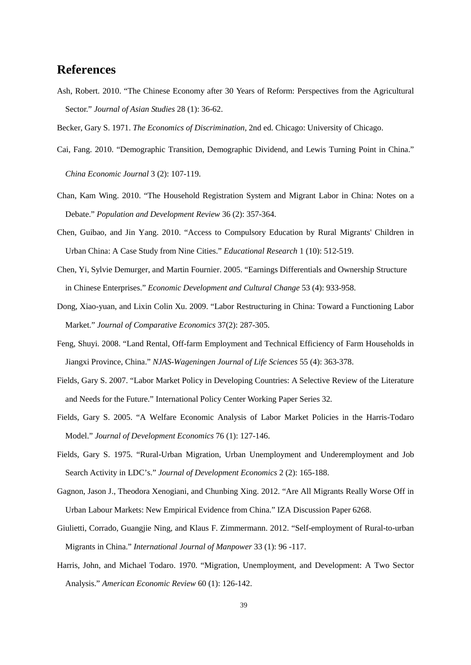## **References**

- Ash, Robert. 2010. "The Chinese Economy after 30 Years of Reform: Perspectives from the Agricultural Sector." *Journal of Asian Studies* 28 (1): 36-62.
- Becker, Gary S. 1971. *The Economics of Discrimination*, 2nd ed. Chicago: University of Chicago.
- Cai, Fang. 2010. "Demographic Transition, Demographic Dividend, and Lewis Turning Point in China."

*China Economic Journal* 3 (2): 107-119.

- Chan, Kam Wing. 2010. "The Household Registration System and Migrant Labor in China: Notes on a Debate." *Population and Development Review* 36 (2): 357-364.
- Chen, Guibao, and Jin Yang. 2010. "Access to Compulsory Education by Rural Migrants' Children in Urban China: A Case Study from Nine Cities." *Educational Research* 1 (10): 512-519.
- Chen, Yi, Sylvie Demurger, and Martin Fournier. 2005. "Earnings Differentials and Ownership Structure in Chinese Enterprises." *Economic Development and Cultural Change* 53 (4): 933-958.
- Dong, Xiao-yuan, and Lixin Colin Xu. 2009. "Labor Restructuring in China: Toward a Functioning Labor Market." *Journal of Comparative Economics* 37(2): 287-305.
- Feng, Shuyi. 2008. "Land Rental, Off-farm Employment and Technical Efficiency of Farm Households in Jiangxi Province, China." *NJAS-Wageningen Journal of Life Sciences* 55 (4): 363-378.
- Fields, Gary S. 2007. "Labor Market Policy in Developing Countries: A Selective Review of the Literature and Needs for the Future." International Policy Center Working Paper Series 32*.*
- Fields, Gary S. 2005. "A Welfare Economic Analysis of Labor Market Policies in the Harris-Todaro Model." *Journal of Development Economics* 76 (1): 127-146.
- Fields, Gary S. 1975. "Rural-Urban Migration, Urban Unemployment and Underemployment and Job Search Activity in LDC's." *Journal of Development Economics* 2 (2): 165-188.
- Gagnon, Jason J., Theodora Xenogiani, and Chunbing Xing. 2012. "Are All Migrants Really Worse Off in Urban Labour Markets: New Empirical Evidence from China." IZA Discussion Paper 6268.
- Giulietti, Corrado, Guangjie Ning, and Klaus F. Zimmermann. 2012. "Self-employment of Rural-to-urban Migrants in China." *International Journal of Manpower* 33 (1): 96 -117.
- Harris, John, and Michael Todaro. 1970. "Migration, Unemployment, and Development: A Two Sector Analysis." *American Economic Review* 60 (1): 126-142.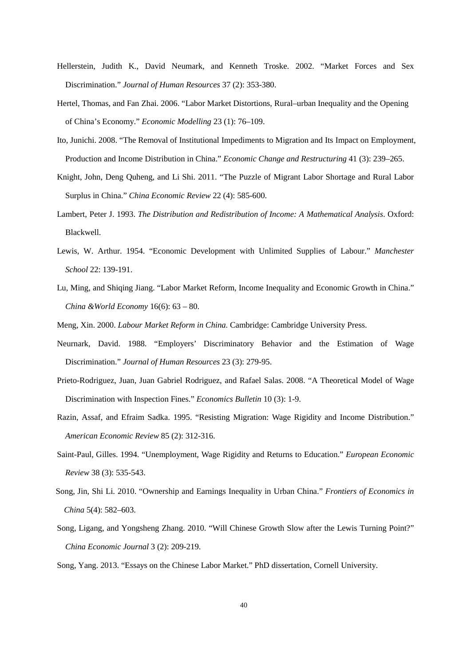- Hellerstein, Judith K., David Neumark, and Kenneth Troske. 2002. "Market Forces and Sex Discrimination." *Journal of Human Resources* 37 (2): 353-380.
- Hertel, Thomas, and Fan Zhai. 2006. "Labor Market Distortions, Rural–urban Inequality and the Opening of China's Economy." *Economic Modelling* 23 (1): 76–109.
- Ito, Junichi. 2008. "The Removal of Institutional Impediments to Migration and Its Impact on Employment, Production and Income Distribution in China." *Economic Change and Restructuring* 41 (3): 239–265.
- Knight, John, Deng Quheng, and Li Shi. 2011. "The Puzzle of Migrant Labor Shortage and Rural Labor Surplus in China." *China Economic Review* 22 (4): 585-600.
- Lambert, Peter J. 1993. *The Distribution and Redistribution of Income: A Mathematical Analysis*. Oxford: Blackwell.
- Lewis, W. Arthur. 1954. "Economic Development with Unlimited Supplies of Labour." *Manchester School* 22: 139-191.
- Lu, Ming, and Shiqing Jiang. "Labor Market Reform, Income Inequality and Economic Growth in China." *China &World Economy* 16(6): 63 – 80.
- Meng, Xin. 2000. *Labour Market Reform in China.* Cambridge: Cambridge University Press.
- Neurnark, David. 1988. "Employers' Discriminatory Behavior and the Estimation of Wage Discrimination." *Journal of Human Resources* 23 (3): 279-95.
- Prieto-Rodriguez, Juan, Juan Gabriel Rodriguez, and Rafael Salas. 2008. "A Theoretical Model of Wage Discrimination with Inspection Fines." *Economics Bulletin* 10 (3): 1-9.
- Razin, Assaf, and Efraim Sadka. 1995. "Resisting Migration: Wage Rigidity and Income Distribution." *American Economic Review* 85 (2): 312-316.
- Saint-Paul, Gilles. 1994. "Unemployment, Wage Rigidity and Returns to Education." *European Economic Review* 38 (3): 535-543.
- Song, Jin, Shi Li. 2010. "Ownership and Earnings Inequality in Urban China." *Frontiers of Economics in China* 5(4): 582–603.
- Song, Ligang, and Yongsheng Zhang. 2010. "Will Chinese Growth Slow after the Lewis Turning Point?" *China Economic Journal* 3 (2): 209-219.
- Song, Yang. 2013. "Essays on the Chinese Labor Market." PhD dissertation, Cornell University.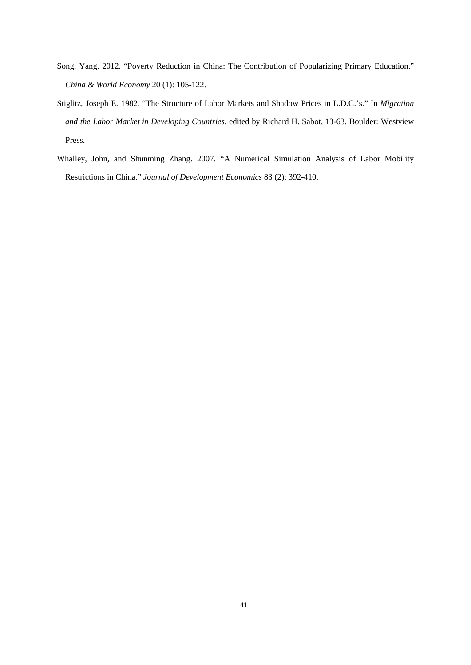- Song, Yang. 2012. "Poverty Reduction in China: The Contribution of Popularizing Primary Education." *China & World Economy* 20 (1): 105-122.
- Stiglitz, Joseph E. 1982. "The Structure of Labor Markets and Shadow Prices in L.D.C.'s." In *Migration and the Labor Market in Developing Countries*, edited by Richard H. Sabot, 13-63. Boulder: Westview Press.
- Whalley, John, and Shunming Zhang. 2007. "A Numerical Simulation Analysis of Labor Mobility Restrictions in China." *Journal of Development Economics* 83 (2): 392-410.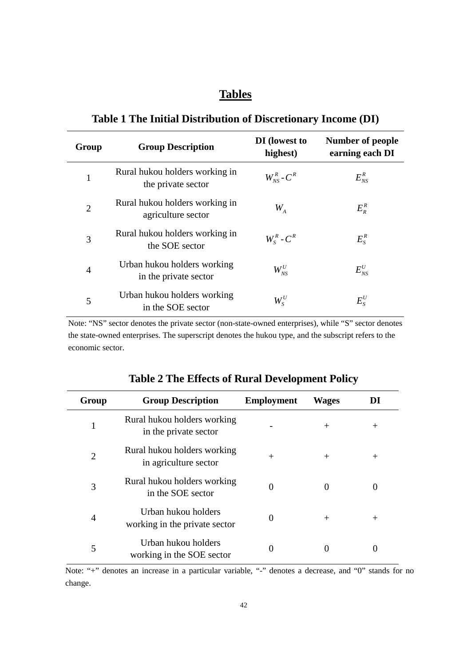## **Tables**

## **Table 1 The Initial Distribution of Discretionary Income (DI)**

| Group          | <b>Group Description</b>                             | DI (lowest to<br>highest) | <b>Number of people</b><br>earning each DI         |
|----------------|------------------------------------------------------|---------------------------|----------------------------------------------------|
| 1              | Rural hukou holders working in<br>the private sector | $W_{NS}^R$ - $C^R$        | $E^{\scriptscriptstyle R}_{\scriptscriptstyle NS}$ |
| $\overline{2}$ | Rural hukou holders working in<br>agriculture sector | $W_{\overline{A}}$        | $E_R^R$                                            |
| 3              | Rural hukou holders working in<br>the SOE sector     | $W_{S}^{R}$ - $C^{R}$     | $E_s^R$                                            |
| $\overline{4}$ | Urban hukou holders working<br>in the private sector | $W_{NS}^U$                | $E^{U}_{NS}$                                       |
| 5              | Urban hukou holders working<br>in the SOE sector     | $W^U_s$                   | $E_{S}^{U}$                                        |

Note: "NS" sector denotes the private sector (non-state-owned enterprises), while "S" sector denotes the state-owned enterprises. The superscript denotes the hukou type, and the subscript refers to the economic sector.

| Group          | <b>Group Description</b>                             | <b>Employment</b> | <b>Wages</b> | DI     |
|----------------|------------------------------------------------------|-------------------|--------------|--------|
| 1              | Rural hukou holders working<br>in the private sector |                   | $^{+}$       | $^{+}$ |
| $\overline{2}$ | Rural hukou holders working<br>in agriculture sector | $^{+}$            | $^{+}$       | $^{+}$ |
| 3              | Rural hukou holders working<br>in the SOE sector     | $\Omega$          | 0            |        |
| $\overline{4}$ | Urban hukou holders<br>working in the private sector | 0                 | $^{+}$       | $^{+}$ |
| 5              | Urban hukou holders<br>working in the SOE sector     | 0                 |              |        |

## **Table 2 The Effects of Rural Development Policy**

Note: "+" denotes an increase in a particular variable, "-" denotes a decrease, and "0" stands for no change.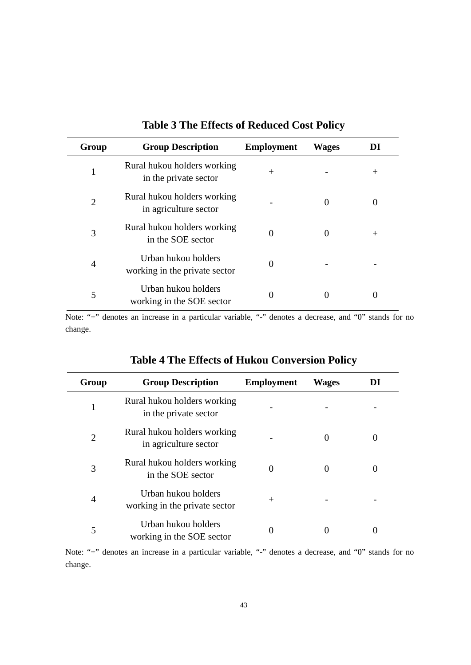| Group          | <b>Group Description</b>                             | <b>Employment</b> | <b>Wages</b> | DI     |
|----------------|------------------------------------------------------|-------------------|--------------|--------|
| 1              | Rural hukou holders working<br>in the private sector | $^{+}$            |              | $^{+}$ |
| 2              | Rural hukou holders working<br>in agriculture sector |                   | $\theta$     |        |
| 3              | Rural hukou holders working<br>in the SOE sector     | 0                 | 0            | $^{+}$ |
| $\overline{4}$ | Urban hukou holders<br>working in the private sector | 0                 |              |        |
| 5              | Urban hukou holders<br>working in the SOE sector     | 0                 |              |        |

## **Table 3 The Effects of Reduced Cost Policy**

Note: "+" denotes an increase in a particular variable, "-" denotes a decrease, and "0" stands for no change.

| Group | <b>Group Description</b>                             | <b>Employment</b> | <b>Wages</b> | DI       |
|-------|------------------------------------------------------|-------------------|--------------|----------|
|       | Rural hukou holders working<br>in the private sector |                   |              |          |
| 2     | Rural hukou holders working<br>in agriculture sector |                   | $\theta$     | $\theta$ |
| 3     | Rural hukou holders working<br>in the SOE sector     | 0                 | $\Omega$     | 0        |
| 4     | Urban hukou holders<br>working in the private sector | $^{+}$            |              |          |
| 5     | Urban hukou holders<br>working in the SOE sector     | $\theta$          | $\Omega$     | $\theta$ |

## **Table 4 The Effects of Hukou Conversion Policy**

Note: "+" denotes an increase in a particular variable, "-" denotes a decrease, and "0" stands for no change.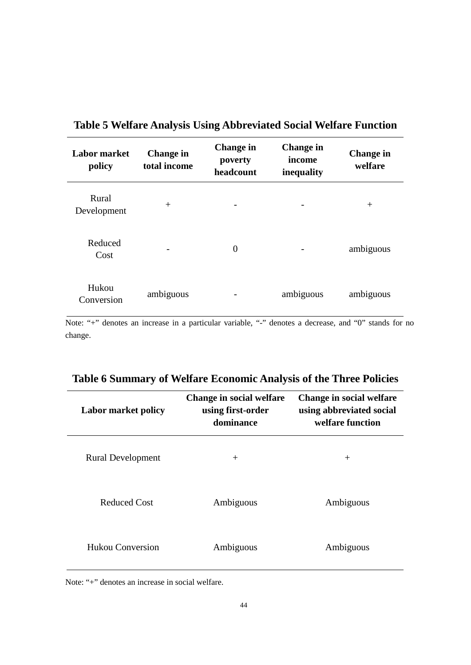| <b>Labor market</b><br>policy | <b>Change in</b><br>total income | <b>Change in</b><br>poverty<br>headcount | <b>Change</b> in<br>income<br>inequality | <b>Change in</b><br>welfare |
|-------------------------------|----------------------------------|------------------------------------------|------------------------------------------|-----------------------------|
| Rural<br>Development          | $^{+}$                           |                                          |                                          | $^{+}$                      |
| Reduced<br>Cost               |                                  | $\overline{0}$                           |                                          | ambiguous                   |
| Hukou<br>Conversion           | ambiguous                        |                                          | ambiguous                                | ambiguous                   |

## **Table 5 Welfare Analysis Using Abbreviated Social Welfare Function**

Note: "+" denotes an increase in a particular variable, "-" denotes a decrease, and "0" stands for no change.

| <b>Labor market policy</b> | Change in social welfare<br>using first-order<br>dominance | Change in social welfare<br>using abbreviated social<br>welfare function |
|----------------------------|------------------------------------------------------------|--------------------------------------------------------------------------|
| <b>Rural Development</b>   | $^{+}$                                                     | $^{+}$                                                                   |
| Reduced Cost               | Ambiguous                                                  | Ambiguous                                                                |
| <b>Hukou Conversion</b>    | Ambiguous                                                  | Ambiguous                                                                |

## **Table 6 Summary of Welfare Economic Analysis of the Three Policies**

Note: "+" denotes an increase in social welfare.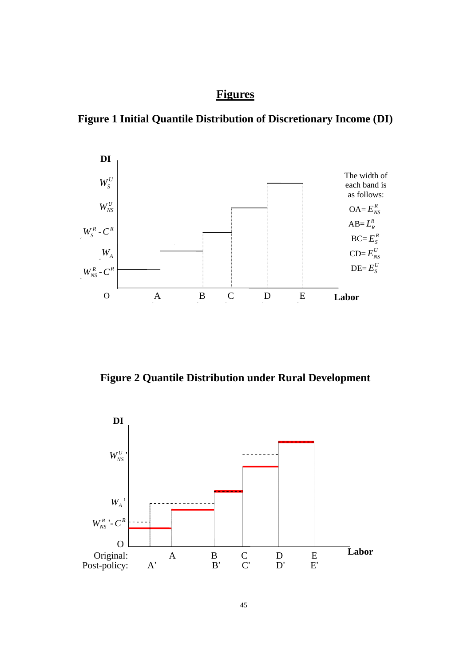## **Figures**

**Figure 1 Initial Quantile Distribution of Discretionary Income (DI)** 



**Figure 2 Quantile Distribution under Rural Development**